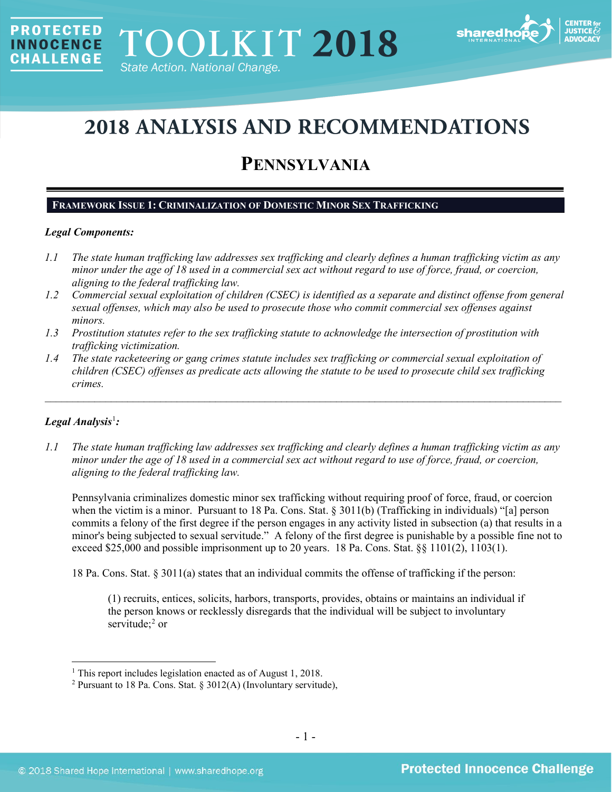

# **2018 ANALYSIS AND RECOMMENDATIONS**

# **PENNSYLVANIA**

# **FRAMEWORK ISSUE 1: CRIMINALIZATION OF DOMESTIC MINOR SEX TRAFFICKING**

# *Legal Components:*

**PROTECTED** 

**INNOCENCE CHALLENGE** 

- *1.1 The state human trafficking law addresses sex trafficking and clearly defines a human trafficking victim as any minor under the age of 18 used in a commercial sex act without regard to use of force, fraud, or coercion, aligning to the federal trafficking law.*
- *1.2 Commercial sexual exploitation of children (CSEC) is identified as a separate and distinct offense from general sexual offenses, which may also be used to prosecute those who commit commercial sex offenses against minors.*
- *1.3 Prostitution statutes refer to the sex trafficking statute to acknowledge the intersection of prostitution with trafficking victimization.*
- *1.4 The state racketeering or gang crimes statute includes sex trafficking or commercial sexual exploitation of children (CSEC) offenses as predicate acts allowing the statute to be used to prosecute child sex trafficking crimes.*

\_\_\_\_\_\_\_\_\_\_\_\_\_\_\_\_\_\_\_\_\_\_\_\_\_\_\_\_\_\_\_\_\_\_\_\_\_\_\_\_\_\_\_\_\_\_\_\_\_\_\_\_\_\_\_\_\_\_\_\_\_\_\_\_\_\_\_\_\_\_\_\_\_\_\_\_\_\_\_\_\_\_\_\_\_\_\_\_\_\_\_\_\_\_

# *Legal Analysis*[1](#page-0-0) *:*

*1.1 The state human trafficking law addresses sex trafficking and clearly defines a human trafficking victim as any minor under the age of 18 used in a commercial sex act without regard to use of force, fraud, or coercion, aligning to the federal trafficking law.*

Pennsylvania criminalizes domestic minor sex trafficking without requiring proof of force, fraud, or coercion when the victim is a minor. Pursuant to 18 Pa. Cons. Stat. § 3011(b) (Trafficking in individuals) "[a] person commits a felony of the first degree if the person engages in any activity listed in subsection (a) that results in a minor's being subjected to sexual servitude." A felony of the first degree is punishable by a possible fine not to exceed \$25,000 and possible imprisonment up to 20 years. 18 Pa. Cons. Stat. §§ 1101(2), 1103(1).

18 Pa. Cons. Stat. § 3011(a) states that an individual commits the offense of trafficking if the person:

(1) recruits, entices, solicits, harbors, transports, provides, obtains or maintains an individual if the person knows or recklessly disregards that the individual will be subject to involuntary servitude; $2$  or

<span id="page-0-0"></span><sup>&</sup>lt;sup>1</sup> This report includes legislation enacted as of August 1, 2018.

<span id="page-0-1"></span><sup>&</sup>lt;sup>2</sup> Pursuant to 18 Pa. Cons. Stat. § 3012(A) (Involuntary servitude),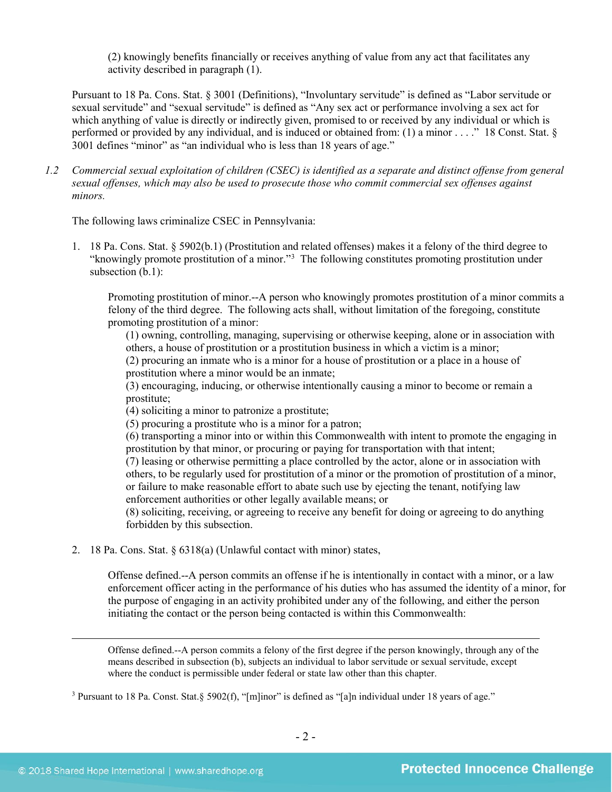(2) knowingly benefits financially or receives anything of value from any act that facilitates any activity described in paragraph (1).

Pursuant to 18 Pa. Cons. Stat. § 3001 (Definitions), "Involuntary servitude" is defined as "Labor servitude or sexual servitude" and "sexual servitude" is defined as "Any sex act or performance involving a sex act for which anything of value is directly or indirectly given, promised to or received by any individual or which is performed or provided by any individual, and is induced or obtained from: (1) a minor . . . ." 18 Const. Stat. § 3001 defines "minor" as "an individual who is less than 18 years of age."

*1.2 Commercial sexual exploitation of children (CSEC) is identified as a separate and distinct offense from general sexual offenses, which may also be used to prosecute those who commit commercial sex offenses against minors.*

The following laws criminalize CSEC in Pennsylvania:

1. 18 Pa. Cons. Stat. § 5902(b.1) (Prostitution and related offenses) makes it a felony of the third degree to "knowingly promote prostitution of a minor.["3](#page-1-0) The following constitutes promoting prostitution under subsection (b.1):

Promoting prostitution of minor.--A person who knowingly promotes prostitution of a minor commits a felony of the third degree. The following acts shall, without limitation of the foregoing, constitute promoting prostitution of a minor:

(1) owning, controlling, managing, supervising or otherwise keeping, alone or in association with others, a house of prostitution or a prostitution business in which a victim is a minor;

(2) procuring an inmate who is a minor for a house of prostitution or a place in a house of prostitution where a minor would be an inmate;

(3) encouraging, inducing, or otherwise intentionally causing a minor to become or remain a prostitute;

(4) soliciting a minor to patronize a prostitute;

(5) procuring a prostitute who is a minor for a patron;

(6) transporting a minor into or within this Commonwealth with intent to promote the engaging in prostitution by that minor, or procuring or paying for transportation with that intent;

(7) leasing or otherwise permitting a place controlled by the actor, alone or in association with others, to be regularly used for prostitution of a minor or the promotion of prostitution of a minor, or failure to make reasonable effort to abate such use by ejecting the tenant, notifying law enforcement authorities or other legally available means; or

(8) soliciting, receiving, or agreeing to receive any benefit for doing or agreeing to do anything forbidden by this subsection.

2. 18 Pa. Cons. Stat. § 6318(a) (Unlawful contact with minor) states,

Offense defined.--A person commits an offense if he is intentionally in contact with a minor, or a law enforcement officer acting in the performance of his duties who has assumed the identity of a minor, for the purpose of engaging in an activity prohibited under any of the following, and either the person initiating the contact or the person being contacted is within this Commonwealth:

Offense defined.--A person commits a felony of the first degree if the person knowingly, through any of the means described in subsection (b), subjects an individual to labor servitude or sexual servitude, except where the conduct is permissible under federal or state law other than this chapter.

<span id="page-1-0"></span><sup>3</sup> Pursuant to 18 Pa. Const. Stat.§ 5902(f), "[m]inor" is defined as "[a]n individual under 18 years of age."

 $\overline{a}$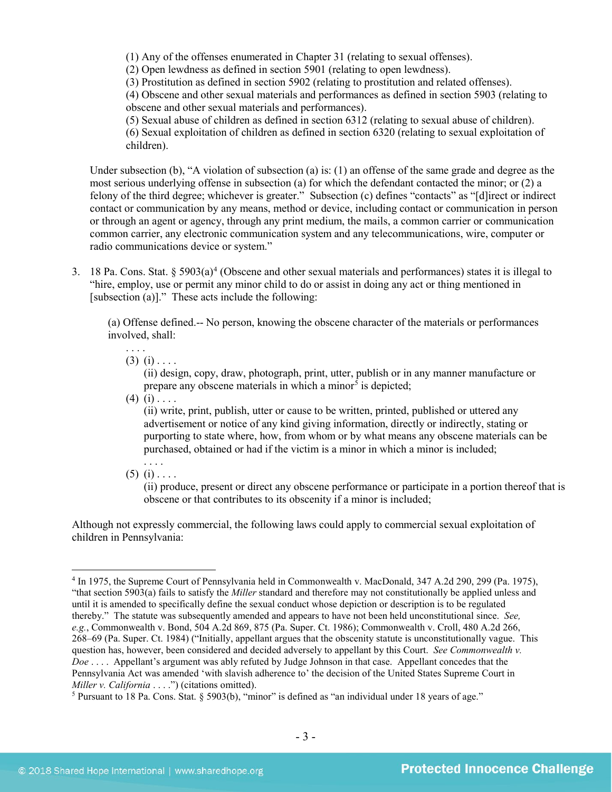(1) Any of the offenses enumerated in Chapter 31 (relating to sexual offenses).

(2) Open lewdness as defined in section 5901 (relating to open lewdness).

(3) Prostitution as defined in section 5902 (relating to prostitution and related offenses).

(4) Obscene and other sexual materials and performances as defined in section 5903 (relating to obscene and other sexual materials and performances).

(5) Sexual abuse of children as defined in section 6312 (relating to sexual abuse of children). (6) Sexual exploitation of children as defined in section 6320 (relating to sexual exploitation of children).

Under subsection (b), "A violation of subsection (a) is: (1) an offense of the same grade and degree as the most serious underlying offense in subsection (a) for which the defendant contacted the minor; or (2) a felony of the third degree; whichever is greater." Subsection (c) defines "contacts" as "[d]irect or indirect contact or communication by any means, method or device, including contact or communication in person or through an agent or agency, through any print medium, the mails, a common carrier or communication common carrier, any electronic communication system and any telecommunications, wire, computer or radio communications device or system."

3. 18 Pa. Cons. Stat.  $\S 5903(a)^4$  $\S 5903(a)^4$  (Obscene and other sexual materials and performances) states it is illegal to "hire, employ, use or permit any minor child to do or assist in doing any act or thing mentioned in [subsection (a)]." These acts include the following:

(a) Offense defined.-- No person, knowing the obscene character of the materials or performances involved, shall:

. . . .  $(3)$   $(i)$  . . . .

> (ii) design, copy, draw, photograph, print, utter, publish or in any manner manufacture or prepare any obscene materials in which a minor<sup> $5$ </sup> is depicted;

 $(4)$  (i) . . . .

(ii) write, print, publish, utter or cause to be written, printed, published or uttered any advertisement or notice of any kind giving information, directly or indirectly, stating or purporting to state where, how, from whom or by what means any obscene materials can be purchased, obtained or had if the victim is a minor in which a minor is included;

 $(5)$   $(i)$  . . . .

(ii) produce, present or direct any obscene performance or participate in a portion thereof that is obscene or that contributes to its obscenity if a minor is included;

Although not expressly commercial, the following laws could apply to commercial sexual exploitation of children in Pennsylvania:

<span id="page-2-0"></span> <sup>4</sup> In 1975, the Supreme Court of Pennsylvania held in Commonwealth v. MacDonald, 347 A.2d 290, 299 (Pa. 1975), "that section 5903(a) fails to satisfy the *Miller* standard and therefore may not constitutionally be applied unless and until it is amended to specifically define the sexual conduct whose depiction or description is to be regulated thereby." The statute was subsequently amended and appears to have not been held unconstitutional since. *See, e.g.*, Commonwealth v. Bond, 504 A.2d 869, 875 (Pa. Super. Ct. 1986); Commonwealth v. Croll, 480 A.2d 266, 268–69 (Pa. Super. Ct. 1984) ("Initially, appellant argues that the obscenity statute is unconstitutionally vague. This question has, however, been considered and decided adversely to appellant by this Court. *See Commonwealth v. Doe* . . . . Appellant's argument was ably refuted by Judge Johnson in that case. Appellant concedes that the Pennsylvania Act was amended 'with slavish adherence to' the decision of the United States Supreme Court in *Miller v. California* . . . .") (citations omitted).

<span id="page-2-1"></span><sup>5</sup> Pursuant to 18 Pa. Cons. Stat. § 5903(b), "minor" is defined as "an individual under 18 years of age."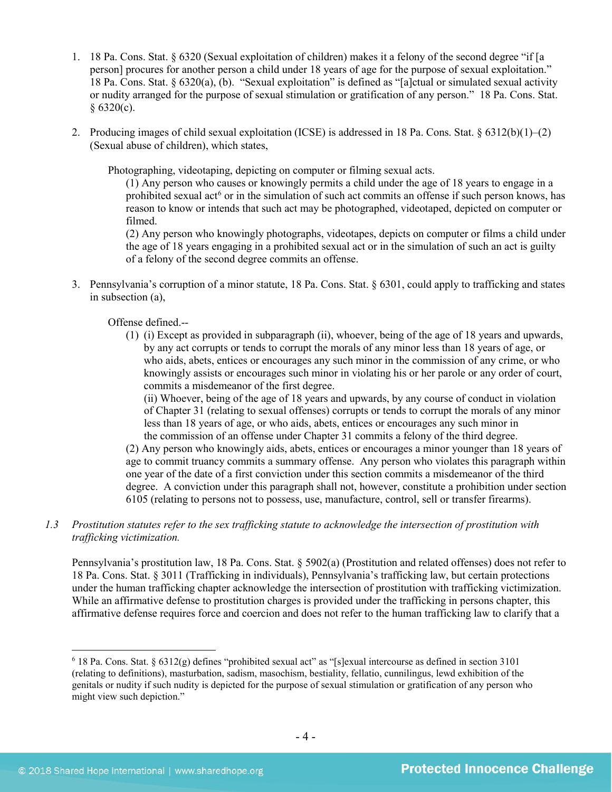- 1. 18 Pa. Cons. Stat. § 6320 (Sexual exploitation of children) makes it a felony of the second degree "if [a person] procures for another person a child under 18 years of age for the purpose of sexual exploitation." 18 Pa. Cons. Stat. § 6320(a), (b). "Sexual exploitation" is defined as "[a]ctual or simulated sexual activity or nudity arranged for the purpose of sexual stimulation or gratification of any person." 18 Pa. Cons. Stat.  $§ 6320(c).$
- 2. Producing images of child sexual exploitation (ICSE) is addressed in 18 Pa. Cons. Stat. § 6312(b)(1)–(2) (Sexual abuse of children), which states,

Photographing, videotaping, depicting on computer or filming sexual acts.

(1) Any person who causes or knowingly permits a child under the age of 18 years to engage in a prohibited sexual act<sup>[6](#page-3-0)</sup> or in the simulation of such act commits an offense if such person knows, has reason to know or intends that such act may be photographed, videotaped, depicted on computer or filmed.

(2) Any person who knowingly photographs, videotapes, depicts on computer or films a child under the age of 18 years engaging in a prohibited sexual act or in the simulation of such an act is guilty of a felony of the second degree commits an offense.

3. Pennsylvania's corruption of a minor statute, 18 Pa. Cons. Stat. § 6301, could apply to trafficking and states in subsection (a),

Offense defined.--

(1) (i) Except as provided in subparagraph (ii), whoever, being of the age of 18 years and upwards, by any act corrupts or tends to corrupt the morals of any minor less than 18 years of age, or who aids, abets, entices or encourages any such minor in the commission of any crime, or who knowingly assists or encourages such minor in violating his or her parole or any order of court, commits a misdemeanor of the first degree.

(ii) Whoever, being of the age of 18 years and upwards, by any course of conduct in violation of Chapter 31 (relating to sexual offenses) corrupts or tends to corrupt the morals of any minor less than 18 years of age, or who aids, abets, entices or encourages any such minor in the commission of an offense under Chapter 31 commits a felony of the third degree.

(2) Any person who knowingly aids, abets, entices or encourages a minor younger than 18 years of age to commit truancy commits a summary offense. Any person who violates this paragraph within one year of the date of a first conviction under this section commits a misdemeanor of the third degree. A conviction under this paragraph shall not, however, constitute a prohibition under section 6105 (relating to persons not to possess, use, manufacture, control, sell or transfer firearms).

*1.3 Prostitution statutes refer to the sex trafficking statute to acknowledge the intersection of prostitution with trafficking victimization.* 

Pennsylvania's prostitution law, 18 Pa. Cons. Stat. § 5902(a) (Prostitution and related offenses) does not refer to 18 Pa. Cons. Stat. § 3011 (Trafficking in individuals), Pennsylvania's trafficking law, but certain protections under the human trafficking chapter acknowledge the intersection of prostitution with trafficking victimization. While an affirmative defense to prostitution charges is provided under the trafficking in persons chapter, this affirmative defense requires force and coercion and does not refer to the human trafficking law to clarify that a

<span id="page-3-0"></span> $6$  18 Pa. Cons. Stat. § 6312(g) defines "prohibited sexual act" as "[s]exual intercourse as defined in section 3101 (relating to definitions), masturbation, sadism, masochism, bestiality, fellatio, cunnilingus, lewd exhibition of the genitals or nudity if such nudity is depicted for the purpose of sexual stimulation or gratification of any person who might view such depiction."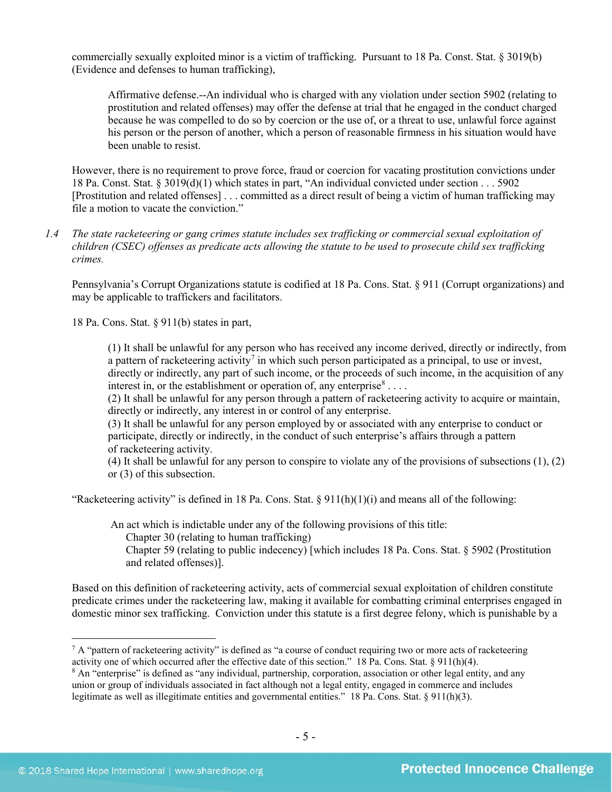commercially sexually exploited minor is a victim of trafficking. Pursuant to 18 Pa. Const. Stat. § 3019(b) (Evidence and defenses to human trafficking),

Affirmative defense.--An individual who is charged with any violation under section 5902 (relating to prostitution and related offenses) may offer the defense at trial that he engaged in the conduct charged because he was compelled to do so by coercion or the use of, or a threat to use, unlawful force against his person or the person of another, which a person of reasonable firmness in his situation would have been unable to resist.

However, there is no requirement to prove force, fraud or coercion for vacating prostitution convictions under 18 Pa. Const. Stat. § 3019(d)(1) which states in part, "An individual convicted under section . . . 5902 [Prostitution and related offenses] . . . committed as a direct result of being a victim of human trafficking may file a motion to vacate the conviction."

*1.4 The state racketeering or gang crimes statute includes sex trafficking or commercial sexual exploitation of children (CSEC) offenses as predicate acts allowing the statute to be used to prosecute child sex trafficking crimes.* 

Pennsylvania's Corrupt Organizations statute is codified at 18 Pa. Cons. Stat. § 911 (Corrupt organizations) and may be applicable to traffickers and facilitators.

18 Pa. Cons. Stat. § 911(b) states in part,

(1) It shall be unlawful for any person who has received any income derived, directly or indirectly, from a pattern of racketeering activity<sup>7</sup> in which such person participated as a principal, to use or invest, directly or indirectly, any part of such income, or the proceeds of such income, in the acquisition of any interest in, or the establishment or operation of, any enterprise  $s_{\dots}$ .

(2) It shall be unlawful for any person through a pattern of racketeering activity to acquire or maintain, directly or indirectly, any interest in or control of any enterprise.

(3) It shall be unlawful for any person employed by or associated with any enterprise to conduct or participate, directly or indirectly, in the conduct of such enterprise's affairs through a pattern of racketeering activity.

(4) It shall be unlawful for any person to conspire to violate any of the provisions of subsections (1), (2) or (3) of this subsection.

"Racketeering activity" is defined in 18 Pa. Cons. Stat.  $\S 911(h)(1)(i)$  and means all of the following:

An act which is indictable under any of the following provisions of this title:

Chapter 30 (relating to human trafficking)

Chapter 59 (relating to public indecency) [which includes 18 Pa. Cons. Stat. § 5902 (Prostitution and related offenses)].

Based on this definition of racketeering activity, acts of commercial sexual exploitation of children constitute predicate crimes under the racketeering law, making it available for combatting criminal enterprises engaged in domestic minor sex trafficking. Conviction under this statute is a first degree felony, which is punishable by a

<span id="page-4-0"></span> $^7$  A "pattern of racketeering activity" is defined as "a course of conduct requiring two or more acts of racketeering activity one of which occurred after the effective date of this section." 18 Pa. Cons. Stat. § 911(h)(4).

<span id="page-4-1"></span><sup>8</sup> An "enterprise" is defined as "any individual, partnership, corporation, association or other legal entity, and any union or group of individuals associated in fact although not a legal entity, engaged in commerce and includes legitimate as well as illegitimate entities and governmental entities." 18 Pa. Cons. Stat. § 911(h)(3).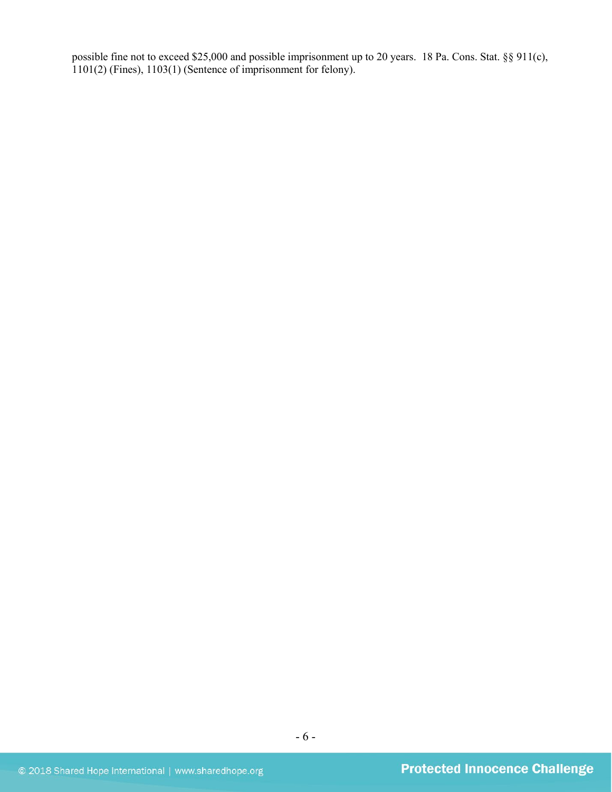possible fine not to exceed \$25,000 and possible imprisonment up to 20 years. 18 Pa. Cons. Stat. §§ 911(c), 1101(2) (Fines), 1103(1) (Sentence of imprisonment for felony).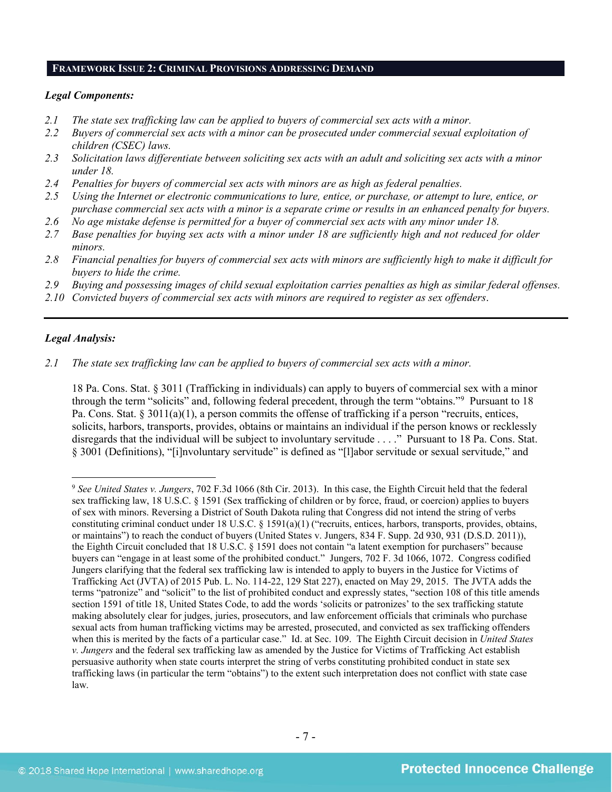#### **FRAMEWORK ISSUE 2: CRIMINAL PROVISIONS ADDRESSING DEMAND**

#### *Legal Components:*

- *2.1 The state sex trafficking law can be applied to buyers of commercial sex acts with a minor.*
- *2.2 Buyers of commercial sex acts with a minor can be prosecuted under commercial sexual exploitation of children (CSEC) laws.*
- *2.3 Solicitation laws differentiate between soliciting sex acts with an adult and soliciting sex acts with a minor under 18.*
- *2.4 Penalties for buyers of commercial sex acts with minors are as high as federal penalties.*
- *2.5 Using the Internet or electronic communications to lure, entice, or purchase, or attempt to lure, entice, or purchase commercial sex acts with a minor is a separate crime or results in an enhanced penalty for buyers.*
- *2.6 No age mistake defense is permitted for a buyer of commercial sex acts with any minor under 18.*
- *2.7 Base penalties for buying sex acts with a minor under 18 are sufficiently high and not reduced for older minors.*
- *2.8 Financial penalties for buyers of commercial sex acts with minors are sufficiently high to make it difficult for buyers to hide the crime.*
- *2.9 Buying and possessing images of child sexual exploitation carries penalties as high as similar federal offenses.*
- *2.10 Convicted buyers of commercial sex acts with minors are required to register as sex offenders*.

# *Legal Analysis:*

*2.1 The state sex trafficking law can be applied to buyers of commercial sex acts with a minor.*

18 Pa. Cons. Stat. § 3011 (Trafficking in individuals) can apply to buyers of commercial sex with a minor through the term "solicits" and, following federal precedent, through the term "obtains."[9](#page-6-0) Pursuant to 18 Pa. Cons. Stat. § 3011(a)(1), a person commits the offense of trafficking if a person "recruits, entices, solicits, harbors, transports, provides, obtains or maintains an individual if the person knows or recklessly disregards that the individual will be subject to involuntary servitude . . . ." Pursuant to 18 Pa. Cons. Stat. § 3001 (Definitions), "[i]nvoluntary servitude" is defined as "[l]abor servitude or sexual servitude," and

<span id="page-6-0"></span> <sup>9</sup> *See United States v. Jungers*, 702 F.3d 1066 (8th Cir. 2013). In this case, the Eighth Circuit held that the federal sex trafficking law, 18 U.S.C. § 1591 (Sex trafficking of children or by force, fraud, or coercion) applies to buyers of sex with minors. Reversing a District of South Dakota ruling that Congress did not intend the string of verbs constituting criminal conduct under 18 U.S.C. § 1591(a)(1) ("recruits, entices, harbors, transports, provides, obtains, or maintains") to reach the conduct of buyers (United States v. Jungers, 834 F. Supp. 2d 930, 931 (D.S.D. 2011)), the Eighth Circuit concluded that 18 U.S.C. § 1591 does not contain "a latent exemption for purchasers" because buyers can "engage in at least some of the prohibited conduct." Jungers, 702 F. 3d 1066, 1072. Congress codified Jungers clarifying that the federal sex trafficking law is intended to apply to buyers in the Justice for Victims of Trafficking Act (JVTA) of 2015 Pub. L. No. 114-22, 129 Stat 227), enacted on May 29, 2015. The JVTA adds the terms "patronize" and "solicit" to the list of prohibited conduct and expressly states, "section 108 of this title amends section 1591 of title 18, United States Code, to add the words 'solicits or patronizes' to the sex trafficking statute making absolutely clear for judges, juries, prosecutors, and law enforcement officials that criminals who purchase sexual acts from human trafficking victims may be arrested, prosecuted, and convicted as sex trafficking offenders when this is merited by the facts of a particular case." Id. at Sec. 109. The Eighth Circuit decision in *United States v. Jungers* and the federal sex trafficking law as amended by the Justice for Victims of Trafficking Act establish persuasive authority when state courts interpret the string of verbs constituting prohibited conduct in state sex trafficking laws (in particular the term "obtains") to the extent such interpretation does not conflict with state case law.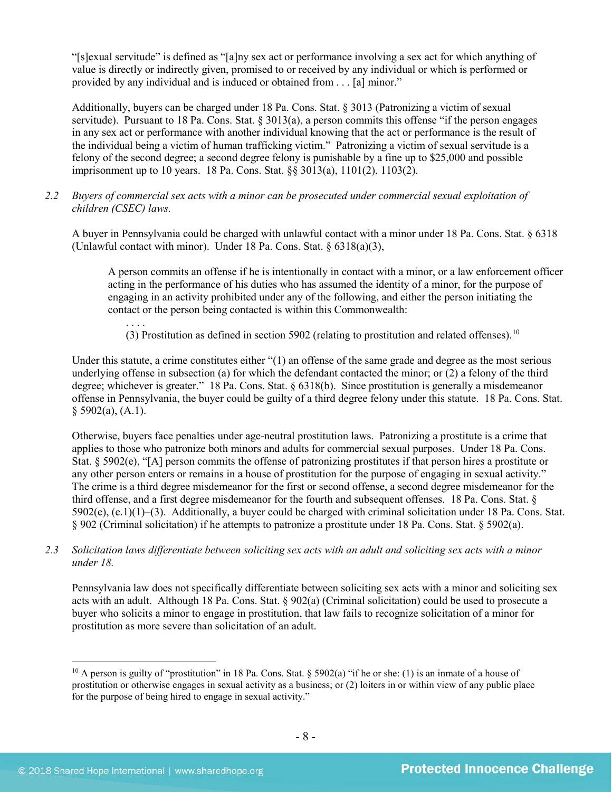"[s]exual servitude" is defined as "[a]ny sex act or performance involving a sex act for which anything of value is directly or indirectly given, promised to or received by any individual or which is performed or provided by any individual and is induced or obtained from . . . [a] minor."

Additionally, buyers can be charged under 18 Pa. Cons. Stat. § 3013 (Patronizing a victim of sexual servitude). Pursuant to 18 Pa. Cons. Stat. § 3013(a), a person commits this offense "if the person engages in any sex act or performance with another individual knowing that the act or performance is the result of the individual being a victim of human trafficking victim." Patronizing a victim of sexual servitude is a felony of the second degree; a second degree felony is punishable by a fine up to \$25,000 and possible imprisonment up to 10 years. 18 Pa. Cons. Stat. §§ 3013(a), 1101(2), 1103(2).

*2.2 Buyers of commercial sex acts with a minor can be prosecuted under commercial sexual exploitation of children (CSEC) laws.*

A buyer in Pennsylvania could be charged with unlawful contact with a minor under 18 Pa. Cons. Stat. § 6318 (Unlawful contact with minor). Under 18 Pa. Cons. Stat. § 6318(a)(3),

A person commits an offense if he is intentionally in contact with a minor, or a law enforcement officer acting in the performance of his duties who has assumed the identity of a minor, for the purpose of engaging in an activity prohibited under any of the following, and either the person initiating the contact or the person being contacted is within this Commonwealth:

. . . . (3) Prostitution as defined in section 5902 (relating to prostitution and related offenses).<sup>10</sup>

Under this statute, a crime constitutes either "(1) an offense of the same grade and degree as the most serious underlying offense in subsection (a) for which the defendant contacted the minor; or (2) a felony of the third degree; whichever is greater." 18 Pa. Cons. Stat. § 6318(b). Since prostitution is generally a misdemeanor offense in Pennsylvania, the buyer could be guilty of a third degree felony under this statute. 18 Pa. Cons. Stat.  $§$  5902(a), (A.1).

Otherwise, buyers face penalties under age-neutral prostitution laws. Patronizing a prostitute is a crime that applies to those who patronize both minors and adults for commercial sexual purposes. Under 18 Pa. Cons. Stat. § 5902(e), "[A] person commits the offense of patronizing prostitutes if that person hires a prostitute or any other person enters or remains in a house of prostitution for the purpose of engaging in sexual activity." The crime is a third degree misdemeanor for the first or second offense, a second degree misdemeanor for the third offense, and a first degree misdemeanor for the fourth and subsequent offenses. 18 Pa. Cons. Stat. §  $5902(e)$ ,  $(e.1)(1)-(3)$ . Additionally, a buyer could be charged with criminal solicitation under 18 Pa. Cons. Stat. § 902 (Criminal solicitation) if he attempts to patronize a prostitute under 18 Pa. Cons. Stat. § 5902(a).

*2.3 Solicitation laws differentiate between soliciting sex acts with an adult and soliciting sex acts with a minor under 18.*

Pennsylvania law does not specifically differentiate between soliciting sex acts with a minor and soliciting sex acts with an adult. Although 18 Pa. Cons. Stat. § 902(a) (Criminal solicitation) could be used to prosecute a buyer who solicits a minor to engage in prostitution, that law fails to recognize solicitation of a minor for prostitution as more severe than solicitation of an adult.

<span id="page-7-0"></span><sup>&</sup>lt;sup>10</sup> A person is guilty of "prostitution" in 18 Pa. Cons. Stat.  $\frac{1}{2}$  5902(a) "if he or she: (1) is an inmate of a house of prostitution or otherwise engages in sexual activity as a business; or (2) loiters in or within view of any public place for the purpose of being hired to engage in sexual activity."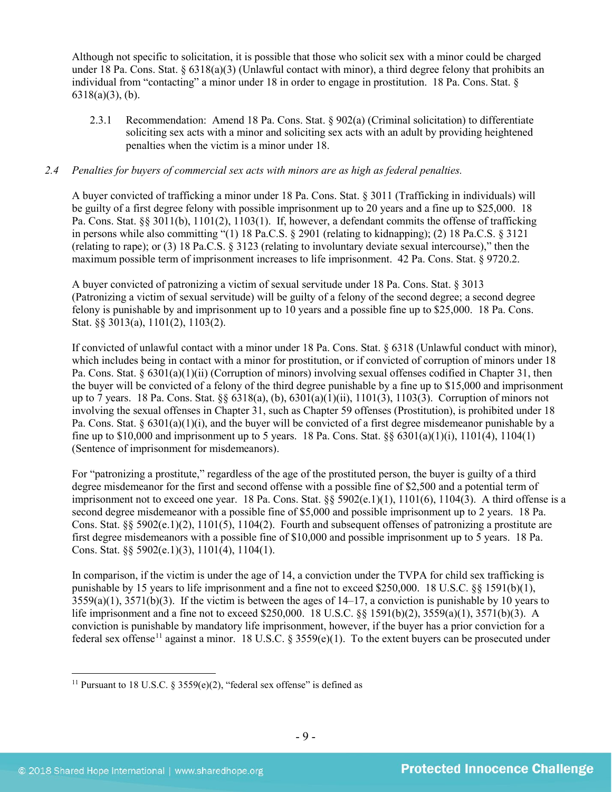Although not specific to solicitation, it is possible that those who solicit sex with a minor could be charged under 18 Pa. Cons. Stat. § 6318(a)(3) (Unlawful contact with minor), a third degree felony that prohibits an individual from "contacting" a minor under 18 in order to engage in prostitution. 18 Pa. Cons. Stat. § 6318(a)(3), (b).

2.3.1 Recommendation: Amend 18 Pa. Cons. Stat. § 902(a) (Criminal solicitation) to differentiate soliciting sex acts with a minor and soliciting sex acts with an adult by providing heightened penalties when the victim is a minor under 18.

# *2.4 Penalties for buyers of commercial sex acts with minors are as high as federal penalties.*

A buyer convicted of trafficking a minor under 18 Pa. Cons. Stat. § 3011 (Trafficking in individuals) will be guilty of a first degree felony with possible imprisonment up to 20 years and a fine up to \$25,000. 18 Pa. Cons. Stat. §§ 3011(b), 1101(2), 1103(1). If, however, a defendant commits the offense of trafficking in persons while also committing "(1) 18 Pa.C.S. § 2901 (relating to kidnapping); (2) 18 Pa.C.S. § 3121 (relating to rape); or (3) 18 Pa.C.S. § 3123 (relating to involuntary deviate sexual intercourse)," then the maximum possible term of imprisonment increases to life imprisonment. 42 Pa. Cons. Stat. § 9720.2.

A buyer convicted of patronizing a victim of sexual servitude under 18 Pa. Cons. Stat. § 3013 (Patronizing a victim of sexual servitude) will be guilty of a felony of the second degree; a second degree felony is punishable by and imprisonment up to 10 years and a possible fine up to \$25,000. 18 Pa. Cons. Stat. §§ 3013(a), 1101(2), 1103(2).

If convicted of unlawful contact with a minor under 18 Pa. Cons. Stat. § 6318 (Unlawful conduct with minor), which includes being in contact with a minor for prostitution, or if convicted of corruption of minors under 18 Pa. Cons. Stat. § 6301(a)(1)(ii) (Corruption of minors) involving sexual offenses codified in Chapter 31, then the buyer will be convicted of a felony of the third degree punishable by a fine up to \$15,000 and imprisonment up to 7 years. 18 Pa. Cons. Stat. §§ 6318(a), (b), 6301(a)(1)(ii), 1101(3), 1103(3). Corruption of minors not involving the sexual offenses in Chapter 31, such as Chapter 59 offenses (Prostitution), is prohibited under 18 Pa. Cons. Stat. § 6301(a)(1)(i), and the buyer will be convicted of a first degree misdemeanor punishable by a fine up to \$10,000 and imprisonment up to 5 years. 18 Pa. Cons. Stat.  $\frac{6}{9}$  6301(a)(1)(i), 1101(4), 1104(1) (Sentence of imprisonment for misdemeanors).

For "patronizing a prostitute," regardless of the age of the prostituted person, the buyer is guilty of a third degree misdemeanor for the first and second offense with a possible fine of \$2,500 and a potential term of imprisonment not to exceed one year. 18 Pa. Cons. Stat. §§ 5902(e.1)(1), 1101(6), 1104(3). A third offense is a second degree misdemeanor with a possible fine of \$5,000 and possible imprisonment up to 2 years. 18 Pa. Cons. Stat. §§ 5902(e.1)(2), 1101(5), 1104(2). Fourth and subsequent offenses of patronizing a prostitute are first degree misdemeanors with a possible fine of \$10,000 and possible imprisonment up to 5 years. 18 Pa. Cons. Stat. §§ 5902(e.1)(3), 1101(4), 1104(1).

In comparison, if the victim is under the age of 14, a conviction under the TVPA for child sex trafficking is punishable by 15 years to life imprisonment and a fine not to exceed \$250,000. 18 U.S.C. §§ 1591(b)(1), 3559(a)(1), 3571(b)(3). If the victim is between the ages of 14–17, a conviction is punishable by 10 years to life imprisonment and a fine not to exceed \$250,000. 18 U.S.C. §§ 1591(b)(2), 3559(a)(1), 3571(b)(3). A conviction is punishable by mandatory life imprisonment, however, if the buyer has a prior conviction for a federal sex offense<sup>[11](#page-8-0)</sup> against a minor. 18 U.S.C. § 3559(e)(1). To the extent buyers can be prosecuted under

<span id="page-8-1"></span><span id="page-8-0"></span><sup>&</sup>lt;sup>11</sup> Pursuant to 18 U.S.C. § 3559(e)(2), "federal sex offense" is defined as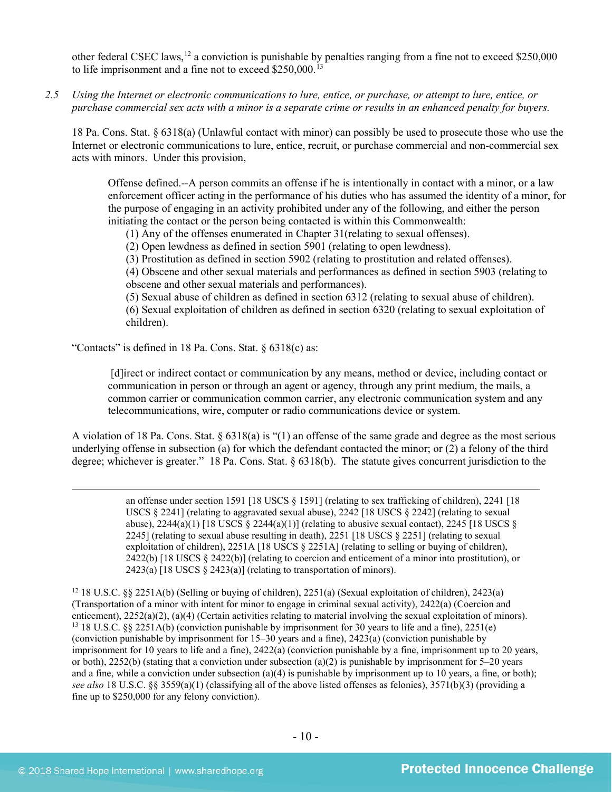other federal CSEC laws,[12](#page-9-0) a conviction is punishable by penalties ranging from a fine not to exceed \$250,000 to life imprisonment and a fine not to exceed  $$250,000$ .<sup>[13](#page-9-1)</sup>

*2.5 Using the Internet or electronic communications to lure, entice, or purchase, or attempt to lure, entice, or purchase commercial sex acts with a minor is a separate crime or results in an enhanced penalty for buyers.*

18 Pa. Cons. Stat. § 6318(a) (Unlawful contact with minor) can possibly be used to prosecute those who use the Internet or electronic communications to lure, entice, recruit, or purchase commercial and non-commercial sex acts with minors. Under this provision,

Offense defined.--A person commits an offense if he is intentionally in contact with a minor, or a law enforcement officer acting in the performance of his duties who has assumed the identity of a minor, for the purpose of engaging in an activity prohibited under any of the following, and either the person initiating the contact or the person being contacted is within this Commonwealth:

(1) Any of the offenses enumerated in Chapter 31(relating to sexual offenses).

(2) Open lewdness as defined in section 5901 (relating to open lewdness).

(3) Prostitution as defined in section 5902 (relating to prostitution and related offenses).

(4) Obscene and other sexual materials and performances as defined in section 5903 (relating to obscene and other sexual materials and performances).

(5) Sexual abuse of children as defined in section 6312 (relating to sexual abuse of children). (6) Sexual exploitation of children as defined in section 6320 (relating to sexual exploitation of children).

"Contacts" is defined in 18 Pa. Cons. Stat. § 6318(c) as:

[d]irect or indirect contact or communication by any means, method or device, including contact or communication in person or through an agent or agency, through any print medium, the mails, a common carrier or communication common carrier, any electronic communication system and any telecommunications, wire, computer or radio communications device or system.

A violation of 18 Pa. Cons. Stat. § 6318(a) is "(1) an offense of the same grade and degree as the most serious underlying offense in subsection (a) for which the defendant contacted the minor; or (2) a felony of the third degree; whichever is greater." 18 Pa. Cons. Stat. § 6318(b). The statute gives concurrent jurisdiction to the

> an offense under section 1591 [18 USCS § 1591] (relating to sex trafficking of children), 2241 [18 USCS § 2241] (relating to aggravated sexual abuse), 2242 [18 USCS § 2242] (relating to sexual abuse),  $2244(a)(1)$  [18 USCS §  $2244(a)(1)$ ] (relating to abusive sexual contact),  $2245$  [18 USCS § 2245] (relating to sexual abuse resulting in death), 2251 [18 USCS § 2251] (relating to sexual exploitation of children), 2251A [18 USCS § 2251A] (relating to selling or buying of children), 2422(b) [18 USCS § 2422(b)] (relating to coercion and enticement of a minor into prostitution), or 2423(a)  $[18$  USCS § 2423(a)] (relating to transportation of minors).

<span id="page-9-1"></span><span id="page-9-0"></span><sup>12</sup> 18 U.S.C. §§ 2251A(b) (Selling or buying of children), 2251(a) (Sexual exploitation of children), 2423(a) (Transportation of a minor with intent for minor to engage in criminal sexual activity), 2422(a) (Coercion and enticement), 2252(a)(2), (a)(4) (Certain activities relating to material involving the sexual exploitation of minors). <sup>13</sup> 18 U.S.C. §§ 2251A(b) (conviction punishable by imprisonment for 30 years to life and a fine), 2251(e) (conviction punishable by imprisonment for 15–30 years and a fine), 2423(a) (conviction punishable by imprisonment for 10 years to life and a fine), 2422(a) (conviction punishable by a fine, imprisonment up to 20 years, or both), 2252(b) (stating that a conviction under subsection (a)(2) is punishable by imprisonment for  $5-20$  years and a fine, while a conviction under subsection (a)(4) is punishable by imprisonment up to 10 years, a fine, or both); *see also* 18 U.S.C. §§ 3559(a)(1) (classifying all of the above listed offenses as felonies), 3571(b)(3) (providing a fine up to \$250,000 for any felony conviction).

 $\overline{a}$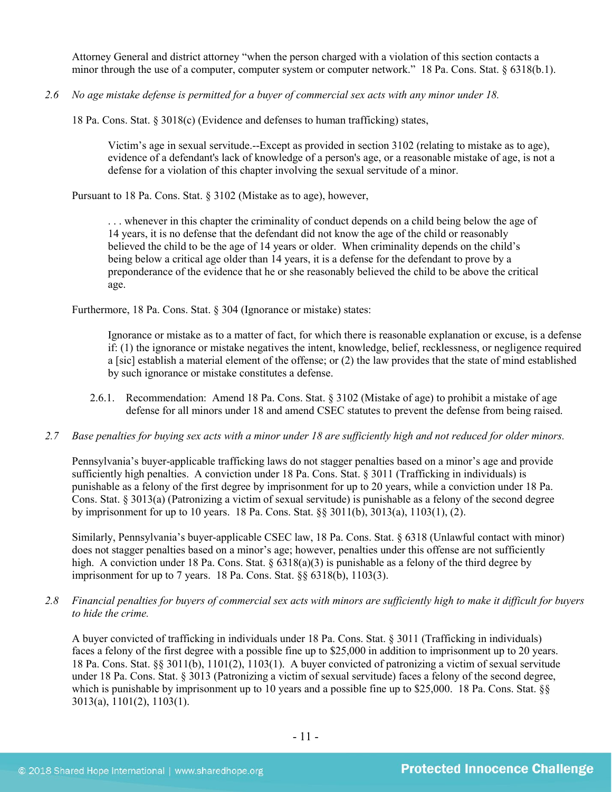Attorney General and district attorney "when the person charged with a violation of this section contacts a minor through the use of a computer, computer system or computer network." 18 Pa. Cons. Stat. § 6318(b.1).

*2.6 No age mistake defense is permitted for a buyer of commercial sex acts with any minor under 18.*

18 Pa. Cons. Stat. § 3018(c) (Evidence and defenses to human trafficking) states,

Victim's age in sexual servitude.--Except as provided in section 3102 (relating to mistake as to age), evidence of a defendant's lack of knowledge of a person's age, or a reasonable mistake of age, is not a defense for a violation of this chapter involving the sexual servitude of a minor.

Pursuant to 18 Pa. Cons. Stat. § 3102 (Mistake as to age), however,

. . . whenever in this chapter the criminality of conduct depends on a child being below the age of 14 years, it is no defense that the defendant did not know the age of the child or reasonably believed the child to be the age of 14 years or older. When criminality depends on the child's being below a critical age older than 14 years, it is a defense for the defendant to prove by a preponderance of the evidence that he or she reasonably believed the child to be above the critical age.

Furthermore, 18 Pa. Cons. Stat. § 304 (Ignorance or mistake) states:

Ignorance or mistake as to a matter of fact, for which there is reasonable explanation or excuse, is a defense if: (1) the ignorance or mistake negatives the intent, knowledge, belief, recklessness, or negligence required a [sic] establish a material element of the offense; or (2) the law provides that the state of mind established by such ignorance or mistake constitutes a defense.

- 2.6.1. Recommendation: Amend 18 Pa. Cons. Stat. § 3102 (Mistake of age) to prohibit a mistake of age defense for all minors under 18 and amend CSEC statutes to prevent the defense from being raised.
- *2.7 Base penalties for buying sex acts with a minor under 18 are sufficiently high and not reduced for older minors.*

Pennsylvania's buyer-applicable trafficking laws do not stagger penalties based on a minor's age and provide sufficiently high penalties. A conviction under 18 Pa. Cons. Stat. § 3011 (Trafficking in individuals) is punishable as a felony of the first degree by imprisonment for up to 20 years, while a conviction under 18 Pa. Cons. Stat. § 3013(a) (Patronizing a victim of sexual servitude) is punishable as a felony of the second degree by imprisonment for up to 10 years. 18 Pa. Cons. Stat. §§ 3011(b), 3013(a), 1103(1), (2).

Similarly, Pennsylvania's buyer-applicable CSEC law, 18 Pa. Cons. Stat. § 6318 (Unlawful contact with minor) does not stagger penalties based on a minor's age; however, penalties under this offense are not sufficiently high. A conviction under 18 Pa. Cons. Stat.  $\S 6318(a)(3)$  is punishable as a felony of the third degree by imprisonment for up to 7 years. 18 Pa. Cons. Stat. §§ 6318(b), 1103(3).

*2.8 Financial penalties for buyers of commercial sex acts with minors are sufficiently high to make it difficult for buyers to hide the crime.*

A buyer convicted of trafficking in individuals under 18 Pa. Cons. Stat. § 3011 (Trafficking in individuals) faces a felony of the first degree with a possible fine up to \$25,000 in addition to imprisonment up to 20 years. 18 Pa. Cons. Stat. §§ 3011(b), 1101(2), 1103(1). A buyer convicted of patronizing a victim of sexual servitude under 18 Pa. Cons. Stat. § 3013 (Patronizing a victim of sexual servitude) faces a felony of the second degree, which is punishable by imprisonment up to 10 years and a possible fine up to \$25,000. 18 Pa. Cons. Stat.  $\S$ 3013(a), 1101(2), 1103(1).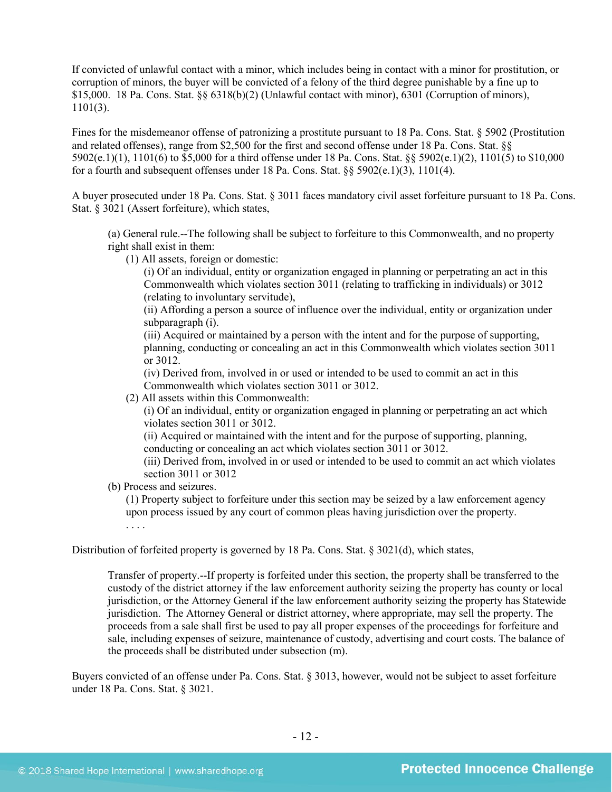If convicted of unlawful contact with a minor, which includes being in contact with a minor for prostitution, or corruption of minors, the buyer will be convicted of a felony of the third degree punishable by a fine up to \$15,000. 18 Pa. Cons. Stat. §§ 6318(b)(2) (Unlawful contact with minor), 6301 (Corruption of minors), 1101(3).

Fines for the misdemeanor offense of patronizing a prostitute pursuant to 18 Pa. Cons. Stat. § 5902 (Prostitution and related offenses), range from \$2,500 for the first and second offense under 18 Pa. Cons. Stat. §§ 5902(e.1)(1), 1101(6) to \$5,000 for a third offense under 18 Pa. Cons. Stat. §§ 5902(e.1)(2), 1101(5) to \$10,000 for a fourth and subsequent offenses under 18 Pa. Cons. Stat.  $\S$ § 5902(e.1)(3), 1101(4).

A buyer prosecuted under 18 Pa. Cons. Stat. § 3011 faces mandatory civil asset forfeiture pursuant to 18 Pa. Cons. Stat. § 3021 (Assert forfeiture), which states,

(a) General rule.--The following shall be subject to forfeiture to this Commonwealth, and no property right shall exist in them:

(1) All assets, foreign or domestic:

(i) Of an individual, entity or organization engaged in planning or perpetrating an act in this Commonwealth which violates section 3011 (relating to trafficking in individuals) or 3012 (relating to involuntary servitude),

(ii) Affording a person a source of influence over the individual, entity or organization under subparagraph (i).

(iii) Acquired or maintained by a person with the intent and for the purpose of supporting, planning, conducting or concealing an act in this Commonwealth which violates section 3011 or 3012.

(iv) Derived from, involved in or used or intended to be used to commit an act in this Commonwealth which violates section 3011 or 3012.

(2) All assets within this Commonwealth:

(i) Of an individual, entity or organization engaged in planning or perpetrating an act which violates section 3011 or 3012.

(ii) Acquired or maintained with the intent and for the purpose of supporting, planning, conducting or concealing an act which violates section 3011 or 3012.

(iii) Derived from, involved in or used or intended to be used to commit an act which violates section 3011 or 3012

(b) Process and seizures.

(1) Property subject to forfeiture under this section may be seized by a law enforcement agency upon process issued by any court of common pleas having jurisdiction over the property.

. . . .

Distribution of forfeited property is governed by 18 Pa. Cons. Stat. § 3021(d), which states,

Transfer of property.--If property is forfeited under this section, the property shall be transferred to the custody of the district attorney if the law enforcement authority seizing the property has county or local jurisdiction, or the Attorney General if the law enforcement authority seizing the property has Statewide jurisdiction. The Attorney General or district attorney, where appropriate, may sell the property. The proceeds from a sale shall first be used to pay all proper expenses of the proceedings for forfeiture and sale, including expenses of seizure, maintenance of custody, advertising and court costs. The balance of the proceeds shall be distributed under subsection (m).

Buyers convicted of an offense under Pa. Cons. Stat. § 3013, however, would not be subject to asset forfeiture under 18 Pa. Cons. Stat. § 3021.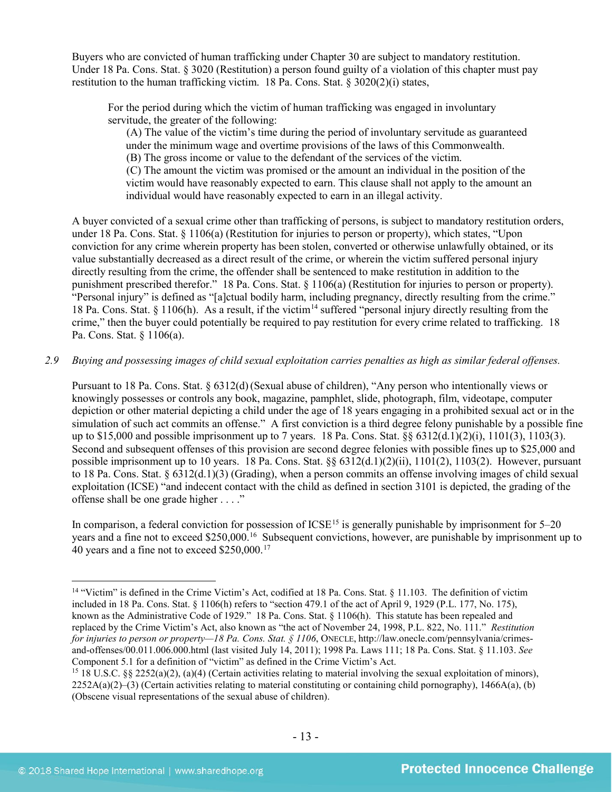Buyers who are convicted of human trafficking under Chapter 30 are subject to mandatory restitution. Under 18 Pa. Cons. Stat. § 3020 (Restitution) a person found guilty of a violation of this chapter must pay restitution to the human trafficking victim. 18 Pa. Cons. Stat. § 3020(2)(i) states,

For the period during which the victim of human trafficking was engaged in involuntary servitude, the greater of the following:

(A) The value of the victim's time during the period of involuntary servitude as guaranteed under the minimum wage and overtime provisions of the laws of this Commonwealth.

(B) The gross income or value to the defendant of the services of the victim.

(C) The amount the victim was promised or the amount an individual in the position of the victim would have reasonably expected to earn. This clause shall not apply to the amount an individual would have reasonably expected to earn in an illegal activity.

A buyer convicted of a sexual crime other than trafficking of persons, is subject to mandatory restitution orders, under 18 Pa. Cons. Stat. § 1106(a) (Restitution for injuries to person or property), which states, "Upon conviction for any crime wherein property has been stolen, converted or otherwise unlawfully obtained, or its value substantially decreased as a direct result of the crime, or wherein the victim suffered personal injury directly resulting from the crime, the offender shall be sentenced to make restitution in addition to the punishment prescribed therefor." 18 Pa. Cons. Stat. § 1106(a) (Restitution for injuries to person or property). "Personal injury" is defined as "[a]ctual bodily harm, including pregnancy, directly resulting from the crime." 18 Pa. Cons. Stat. § 1106(h). As a result, if the victim<sup>[14](#page-12-0)</sup> suffered "personal injury directly resulting from the crime," then the buyer could potentially be required to pay restitution for every crime related to trafficking. 18 Pa. Cons. Stat. § 1106(a).

*2.9 Buying and possessing images of child sexual exploitation carries penalties as high as similar federal offenses.*

Pursuant to 18 Pa. Cons. Stat. § 6312(d)(Sexual abuse of children), "Any person who intentionally views or knowingly possesses or controls any book, magazine, pamphlet, slide, photograph, film, videotape, computer depiction or other material depicting a child under the age of 18 years engaging in a prohibited sexual act or in the simulation of such act commits an offense." A first conviction is a third degree felony punishable by a possible fine up to \$15,000 and possible imprisonment up to 7 years. 18 Pa. Cons. Stat. §§ 6312(d.1)(2)(i), 1101(3), 1103(3). Second and subsequent offenses of this provision are second degree felonies with possible fines up to \$25,000 and possible imprisonment up to 10 years. 18 Pa. Cons. Stat. §§ 6312(d.1)(2)(ii), 1101(2), 1103(2). However, pursuant to 18 Pa. Cons. Stat.  $\S 6312(d.1)(3)$  (Grading), when a person commits an offense involving images of child sexual exploitation (ICSE) "and indecent contact with the child as defined in section 3101 is depicted, the grading of the offense shall be one grade higher . . . ."

<span id="page-12-2"></span>In comparison, a federal conviction for possession of  $ICSE<sup>15</sup>$  $ICSE<sup>15</sup>$  $ICSE<sup>15</sup>$  is generally punishable by imprisonment for  $5-20$ years and a fine not to exceed \$250,000.<sup>16</sup> Subsequent convictions, however, are punishable by imprisonment up to 40 years and a fine not to exceed \$250,000.[17](#page-12-3)

<span id="page-12-3"></span><span id="page-12-0"></span> <sup>14</sup> "Victim" is defined in the Crime Victim's Act, codified at 18 Pa. Cons. Stat. § 11.103. The definition of victim included in 18 Pa. Cons. Stat. § 1106(h) refers to "section 479.1 of the act of April 9, 1929 (P.L. 177, No. 175), known as the Administrative Code of 1929." 18 Pa. Cons. Stat. § 1106(h). This statute has been repealed and replaced by the Crime Victim's Act, also known as "the act of November 24, 1998, P.L. 822, No. 111." *Restitution for injuries to person or property—18 Pa. Cons. Stat. § 1106*, ONECLE, http://law.onecle.com/pennsylvania/crimesand-offenses/00.011.006.000.html (last visited July 14, 2011); 1998 Pa. Laws 111; 18 Pa. Cons. Stat. § 11.103. *See* Component 5.1 for a definition of "victim" as defined in the Crime Victim's Act.

<span id="page-12-1"></span><sup>&</sup>lt;sup>15</sup> 18 U.S.C. §§ 2252(a)(2), (a)(4) (Certain activities relating to material involving the sexual exploitation of minors),  $2252A(a)(2)$ –(3) (Certain activities relating to material constituting or containing child pornography), 1466A(a), (b) (Obscene visual representations of the sexual abuse of children).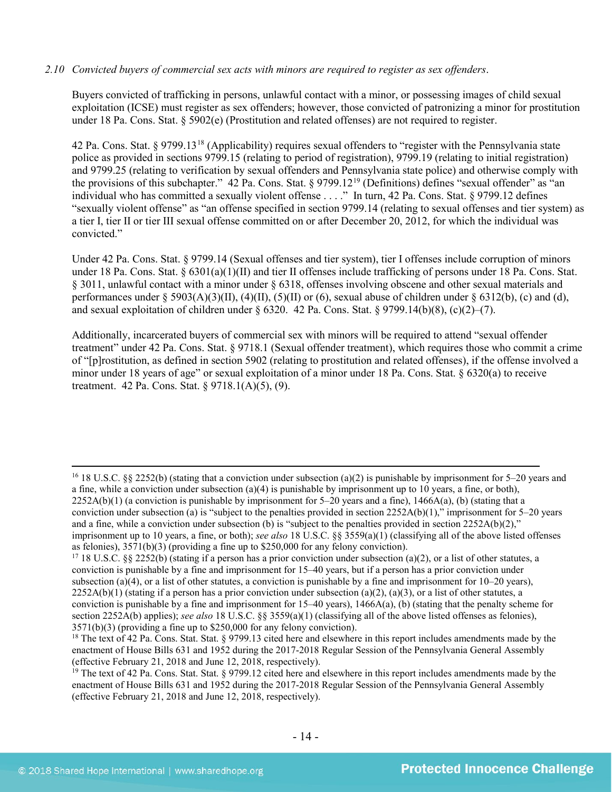#### *2.10 Convicted buyers of commercial sex acts with minors are required to register as sex offenders*.

Buyers convicted of trafficking in persons, unlawful contact with a minor, or possessing images of child sexual exploitation (ICSE) must register as sex offenders; however, those convicted of patronizing a minor for prostitution under 18 Pa. Cons. Stat. § 5902(e) (Prostitution and related offenses) are not required to register.

<span id="page-13-3"></span><span id="page-13-2"></span>42 Pa. Cons. Stat. § 9799.13[18](#page-13-0) (Applicability) requires sexual offenders to "register with the Pennsylvania state police as provided in sections 9799.15 (relating to period of registration), 9799.19 (relating to initial registration) and 9799.25 (relating to verification by sexual offenders and Pennsylvania state police) and otherwise comply with the provisions of this subchapter." 42 Pa. Cons. Stat. § 9799.12[19](#page-13-1) (Definitions) defines "sexual offender" as "an individual who has committed a sexually violent offense . . . ." In turn, 42 Pa. Cons. Stat. § 9799.12 defines "sexually violent offense" as "an offense specified in section 9799.14 (relating to sexual offenses and tier system) as a tier I, tier II or tier III sexual offense committed on or after December 20, 2012, for which the individual was convicted."

Under 42 Pa. Cons. Stat. § 9799.14 (Sexual offenses and tier system), tier I offenses include corruption of minors under 18 Pa. Cons. Stat.  $\S 6301(a)(1)(II)$  and tier II offenses include trafficking of persons under 18 Pa. Cons. Stat. § 3011, unlawful contact with a minor under § 6318, offenses involving obscene and other sexual materials and performances under § 5903(A)(3)(II), (4)(II), (5)(II) or (6), sexual abuse of children under § 6312(b), (c) and (d), and sexual exploitation of children under  $\S 6320$ . 42 Pa. Cons. Stat.  $\S 9799.14(b)(8)$ , (c)(2)–(7).

Additionally, incarcerated buyers of commercial sex with minors will be required to attend "sexual offender treatment" under 42 Pa. Cons. Stat. § 9718.1 (Sexual offender treatment), which requires those who commit a crime of "[p]rostitution, as defined in section 5902 (relating to prostitution and related offenses), if the offense involved a minor under 18 years of age" or sexual exploitation of a minor under 18 Pa. Cons. Stat. § 6320(a) to receive treatment. 42 Pa. Cons. Stat. § 9718.1(A)(5), (9).

<sup>&</sup>lt;sup>16</sup> 18 U.S.C. §§ 2252(b) (stating that a conviction under subsection (a)(2) is punishable by imprisonment for 5–20 years and a fine, while a conviction under subsection (a)(4) is punishable by imprisonment up to 10 years, a fine, or both),  $2252A(b)(1)$  (a conviction is punishable by imprisonment for 5–20 years and a fine), 1466A(a), (b) (stating that a conviction under subsection (a) is "subject to the penalties provided in section  $2252A(b)(1)$ ," imprisonment for  $5-20$  years and a fine, while a conviction under subsection (b) is "subject to the penalties provided in section  $2252A(b)(2)$ ," imprisonment up to 10 years, a fine, or both); *see also* 18 U.S.C. §§ 3559(a)(1) (classifying all of the above listed offenses

<sup>&</sup>lt;sup>17</sup> 18 U.S.C. §§ 2252(b) (stating if a person has a prior conviction under subsection (a)(2), or a list of other statutes, a conviction is punishable by a fine and imprisonment for 15–40 years, but if a person has a prior conviction under subsection (a)(4), or a list of other statutes, a conviction is punishable by a fine and imprisonment for  $10-20$  years),  $2252A(b)(1)$  (stating if a person has a prior conviction under subsection (a)(2), (a)(3), or a list of other statutes, a conviction is punishable by a fine and imprisonment for  $15-40$  years),  $1466A(a)$ , (b) (stating that the penalty scheme for section 2252A(b) applies); *see also* 18 U.S.C. §§ 3559(a)(1) (classifying all of the above listed offenses as felonies), 3571(b)(3) (providing a fine up to \$250,000 for any felony conviction).

<span id="page-13-0"></span><sup>&</sup>lt;sup>18</sup> The text of 42 Pa. Cons. Stat. Stat. § 9799.13 cited here and elsewhere in this report includes amendments made by the enactment of House Bills 631 and 1952 during the 2017-2018 Regular Session of the Pennsylvania General Assembly (effective February 21, 2018 and June 12, 2018, respectively).

<span id="page-13-1"></span><sup>&</sup>lt;sup>19</sup> The text of 42 Pa. Cons. Stat. Stat.  $\frac{8}{9799.12}$  cited here and elsewhere in this report includes amendments made by the enactment of House Bills 631 and 1952 during the 2017-2018 Regular Session of the Pennsylvania General Assembly (effective February 21, 2018 and June 12, 2018, respectively).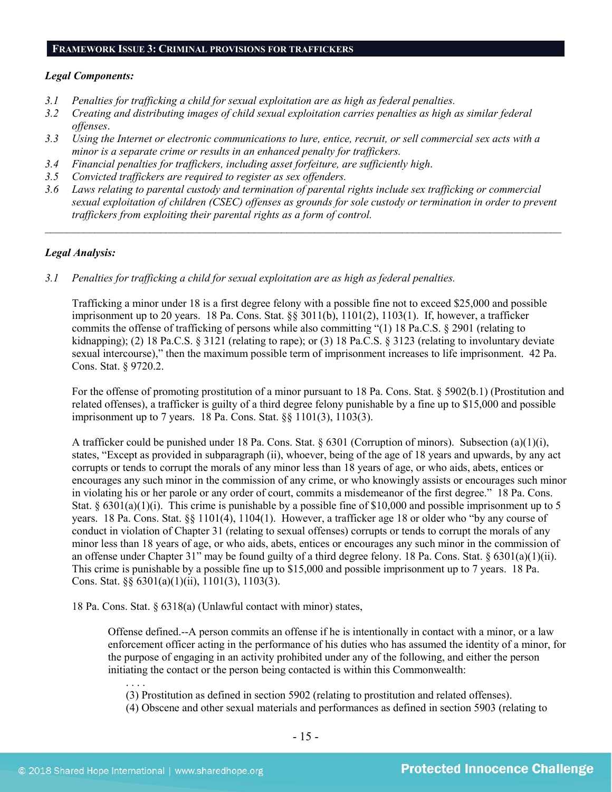#### **FRAMEWORK ISSUE 3: CRIMINAL PROVISIONS FOR TRAFFICKERS**

#### *Legal Components:*

- *3.1 Penalties for trafficking a child for sexual exploitation are as high as federal penalties.*
- *3.2 Creating and distributing images of child sexual exploitation carries penalties as high as similar federal offenses*.
- *3.3 Using the Internet or electronic communications to lure, entice, recruit, or sell commercial sex acts with a minor is a separate crime or results in an enhanced penalty for traffickers.*
- *3.4 Financial penalties for traffickers, including asset forfeiture, are sufficiently high*.
- *3.5 Convicted traffickers are required to register as sex offenders.*
- *3.6 Laws relating to parental custody and termination of parental rights include sex trafficking or commercial sexual exploitation of children (CSEC) offenses as grounds for sole custody or termination in order to prevent traffickers from exploiting their parental rights as a form of control.*

*\_\_\_\_\_\_\_\_\_\_\_\_\_\_\_\_\_\_\_\_\_\_\_\_\_\_\_\_\_\_\_\_\_\_\_\_\_\_\_\_\_\_\_\_\_\_\_\_\_\_\_\_\_\_\_\_\_\_\_\_\_\_\_\_\_\_\_\_\_\_\_\_\_\_\_\_\_\_\_\_\_\_\_\_\_\_\_\_\_\_\_\_\_\_*

# *Legal Analysis:*

*3.1 Penalties for trafficking a child for sexual exploitation are as high as federal penalties.*

Trafficking a minor under 18 is a first degree felony with a possible fine not to exceed \$25,000 and possible imprisonment up to 20 years. 18 Pa. Cons. Stat. §§ 3011(b), 1101(2), 1103(1). If, however, a trafficker commits the offense of trafficking of persons while also committing "(1) 18 Pa.C.S. § 2901 (relating to kidnapping); (2) 18 Pa.C.S. § 3121 (relating to rape); or (3) 18 Pa.C.S. § 3123 (relating to involuntary deviate sexual intercourse)," then the maximum possible term of imprisonment increases to life imprisonment. 42 Pa. Cons. Stat. § 9720.2.

For the offense of promoting prostitution of a minor pursuant to 18 Pa. Cons. Stat. § 5902(b.1) (Prostitution and related offenses), a trafficker is guilty of a third degree felony punishable by a fine up to \$15,000 and possible imprisonment up to 7 years. 18 Pa. Cons. Stat. §§ 1101(3), 1103(3).

A trafficker could be punished under 18 Pa. Cons. Stat. § 6301 (Corruption of minors). Subsection (a)(1)(i), states, "Except as provided in subparagraph (ii), whoever, being of the age of 18 years and upwards, by any act corrupts or tends to corrupt the morals of any minor less than 18 years of age, or who aids, abets, entices or encourages any such minor in the commission of any crime, or who knowingly assists or encourages such minor in violating his or her parole or any order of court, commits a misdemeanor of the first degree." 18 Pa. Cons. Stat. §  $6301(a)(1)(i)$ . This crime is punishable by a possible fine of \$10,000 and possible imprisonment up to 5 years. 18 Pa. Cons. Stat. §§ 1101(4), 1104(1). However, a trafficker age 18 or older who "by any course of conduct in violation of Chapter 31 (relating to sexual offenses) corrupts or tends to corrupt the morals of any minor less than 18 years of age, or who aids, abets, entices or encourages any such minor in the commission of an offense under Chapter 31" may be found guilty of a third degree felony. 18 Pa. Cons. Stat. § 6301(a)(1)(ii). This crime is punishable by a possible fine up to \$15,000 and possible imprisonment up to 7 years. 18 Pa. Cons. Stat. §§ 6301(a)(1)(ii), 1101(3), 1103(3).

18 Pa. Cons. Stat. § 6318(a) (Unlawful contact with minor) states,

Offense defined.--A person commits an offense if he is intentionally in contact with a minor, or a law enforcement officer acting in the performance of his duties who has assumed the identity of a minor, for the purpose of engaging in an activity prohibited under any of the following, and either the person initiating the contact or the person being contacted is within this Commonwealth:

(3) Prostitution as defined in section 5902 (relating to prostitution and related offenses).

(4) Obscene and other sexual materials and performances as defined in section 5903 (relating to

. . . .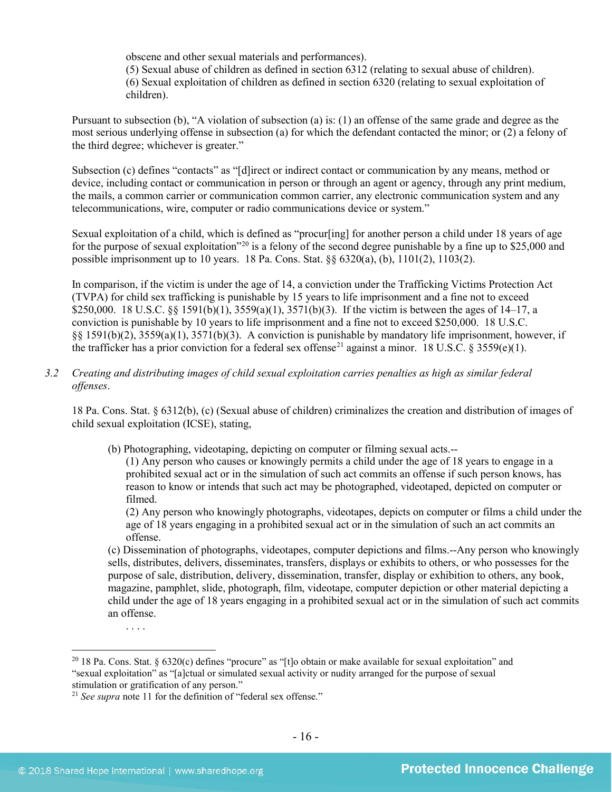obscene and other sexual materials and performances).

(5) Sexual abuse of children as defined in section 6312 (relating to sexual abuse of children). (6) Sexual exploitation of children as defined in section 6320 (relating to sexual exploitation of children).

Pursuant to subsection (b), "A violation of subsection (a) is: (1) an offense of the same grade and degree as the most serious underlying offense in subsection (a) for which the defendant contacted the minor; or (2) a felony of the third degree; whichever is greater."

Subsection (c) defines "contacts" as "[d]irect or indirect contact or communication by any means, method or device, including contact or communication in person or through an agent or agency, through any print medium, the mails, a common carrier or communication common carrier, any electronic communication system and any telecommunications, wire, computer or radio communications device or system."

Sexual exploitation of a child, which is defined as "procur[ing] for another person a child under 18 years of age for the purpose of sexual exploitation<sup>"[20](#page-15-0)</sup> is a felony of the second degree punishable by a fine up to \$25,000 and possible imprisonment up to 10 years. 18 Pa. Cons. Stat. §§ 6320(a), (b), 1101(2), 1103(2).

In comparison, if the victim is under the age of 14, a conviction under the Trafficking Victims Protection Act (TVPA) for child sex trafficking is punishable by 15 years to life imprisonment and a fine not to exceed \$250,000. 18 U.S.C. §§ 1591(b)(1), 3559(a)(1), 3571(b)(3). If the victim is between the ages of 14–17, a conviction is punishable by 10 years to life imprisonment and a fine not to exceed \$250,000. 18 U.S.C. §§ 1591(b)(2), 3559(a)(1), 3571(b)(3). A conviction is punishable by mandatory life imprisonment, however, if the trafficker has a prior conviction for a federal sex offense<sup>[21](#page-15-1)</sup> against a minor. 18 U.S.C. § 3559(e)(1).

*3.2 Creating and distributing images of child sexual exploitation carries penalties as high as similar federal offenses*.

18 Pa. Cons. Stat. § 6312(b), (c) (Sexual abuse of children) criminalizes the creation and distribution of images of child sexual exploitation (ICSE), stating,

(b) Photographing, videotaping, depicting on computer or filming sexual acts.--

(1) Any person who causes or knowingly permits a child under the age of 18 years to engage in a prohibited sexual act or in the simulation of such act commits an offense if such person knows, has reason to know or intends that such act may be photographed, videotaped, depicted on computer or filmed.

(2) Any person who knowingly photographs, videotapes, depicts on computer or films a child under the age of 18 years engaging in a prohibited sexual act or in the simulation of such an act commits an offense.

(c) Dissemination of photographs, videotapes, computer depictions and films.--Any person who knowingly sells, distributes, delivers, disseminates, transfers, displays or exhibits to others, or who possesses for the purpose of sale, distribution, delivery, dissemination, transfer, display or exhibition to others, any book, magazine, pamphlet, slide, photograph, film, videotape, computer depiction or other material depicting a child under the age of 18 years engaging in a prohibited sexual act or in the simulation of such act commits an offense.

. . . .

<span id="page-15-0"></span><sup>&</sup>lt;sup>20</sup> 18 Pa. Cons. Stat. § 6320(c) defines "procure" as "[t]o obtain or make available for sexual exploitation" and "sexual exploitation" as "[a]ctual or simulated sexual activity or nudity arranged for the purpose of sexual stimulation or gratification of any person."

<span id="page-15-1"></span><sup>21</sup> *See supra* note [11](#page-8-1) for the definition of "federal sex offense."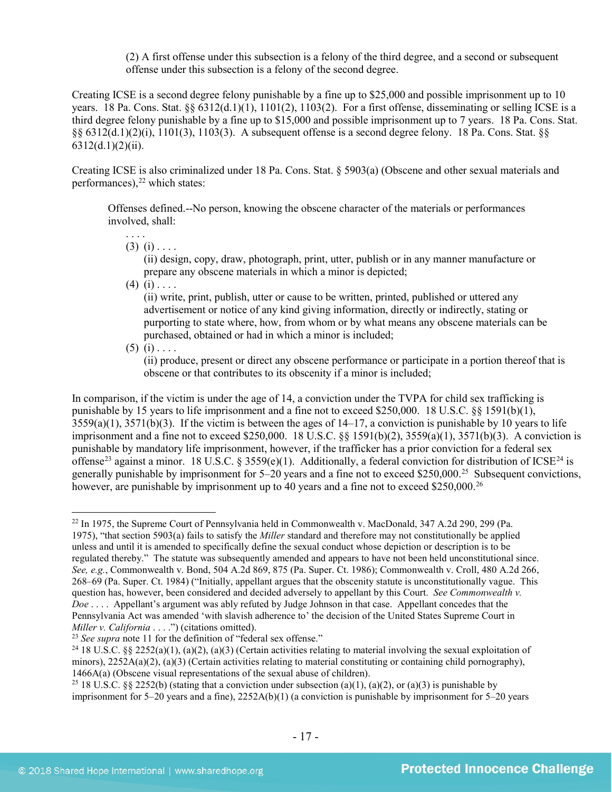(2) A first offense under this subsection is a felony of the third degree, and a second or subsequent offense under this subsection is a felony of the second degree.

Creating ICSE is a second degree felony punishable by a fine up to \$25,000 and possible imprisonment up to 10 years. 18 Pa. Cons. Stat.  $\S_6$  6312(d.1)(1), 1101(2), 1103(2). For a first offense, disseminating or selling ICSE is a third degree felony punishable by a fine up to \$15,000 and possible imprisonment up to 7 years. 18 Pa. Cons. Stat. §§ 6312(d.1)(2)(i), 1101(3), 1103(3). A subsequent offense is a second degree felony. 18 Pa. Cons. Stat. §§  $6312(d.1)(2)(ii)$ .

Creating ICSE is also criminalized under 18 Pa. Cons. Stat. § 5903(a) (Obscene and other sexual materials and performances), [22](#page-16-0) which states:

Offenses defined.--No person, knowing the obscene character of the materials or performances involved, shall:

 $(3)$   $(i)$  . . . .

<span id="page-16-4"></span>(ii) design, copy, draw, photograph, print, utter, publish or in any manner manufacture or prepare any obscene materials in which a minor is depicted;

 $(4)$   $(i)$  . . . .

(ii) write, print, publish, utter or cause to be written, printed, published or uttered any advertisement or notice of any kind giving information, directly or indirectly, stating or purporting to state where, how, from whom or by what means any obscene materials can be purchased, obtained or had in which a minor is included;

 $(5)$   $(i)$  . . . .

(ii) produce, present or direct any obscene performance or participate in a portion thereof that is obscene or that contributes to its obscenity if a minor is included;

In comparison, if the victim is under the age of 14, a conviction under the TVPA for child sex trafficking is punishable by 15 years to life imprisonment and a fine not to exceed \$250,000. 18 U.S.C. §§ 1591(b)(1), 3559(a)(1), 3571(b)(3). If the victim is between the ages of 14–17, a conviction is punishable by 10 years to life imprisonment and a fine not to exceed \$250,000. 18 U.S.C. §§ 1591(b)(2), 3559(a)(1), 3571(b)(3). A conviction is punishable by mandatory life imprisonment, however, if the trafficker has a prior conviction for a federal sex offense<sup>[23](#page-16-1)</sup> against a minor. 18 U.S.C. § 3559(e)(1). Additionally, a federal conviction for distribution of ICSE<sup>[24](#page-16-2)</sup> is generally punishable by imprisonment for 5–20 years and a fine not to exceed \$250,000.[25](#page-16-3) Subsequent convictions, however, are punishable by imprisonment up to 40 years and a fine not to exceed \$250,000.<sup>26</sup>

<span id="page-16-0"></span> <sup>22</sup> In 1975, the Supreme Court of Pennsylvania held in Commonwealth v. MacDonald, 347 A.2d 290, 299 (Pa. 1975), "that section 5903(a) fails to satisfy the *Miller* standard and therefore may not constitutionally be applied unless and until it is amended to specifically define the sexual conduct whose depiction or description is to be regulated thereby." The statute was subsequently amended and appears to have not been held unconstitutional since. *See, e.g.*, Commonwealth v. Bond, 504 A.2d 869, 875 (Pa. Super. Ct. 1986); Commonwealth v. Croll, 480 A.2d 266, 268–69 (Pa. Super. Ct. 1984) ("Initially, appellant argues that the obscenity statute is unconstitutionally vague. This question has, however, been considered and decided adversely to appellant by this Court. *See Commonwealth v. Doe* . . . . Appellant's argument was ably refuted by Judge Johnson in that case. Appellant concedes that the Pennsylvania Act was amended 'with slavish adherence to' the decision of the United States Supreme Court in *Miller v. California* . . . .") (citations omitted).

<span id="page-16-1"></span><sup>&</sup>lt;sup>23</sup> See supra note [11](#page-8-1) for the definition of "federal sex offense."

<span id="page-16-2"></span><sup>&</sup>lt;sup>24</sup> 18 U.S.C. §§ 2252(a)(1), (a)(2), (a)(3) (Certain activities relating to material involving the sexual exploitation of minors),  $2252A(a)(2)$ ,  $(a)(3)$  (Certain activities relating to material constituting or containing child pornography), 1466A(a) (Obscene visual representations of the sexual abuse of children).

<span id="page-16-3"></span><sup>&</sup>lt;sup>25</sup> 18 U.S.C. §§ 2252(b) (stating that a conviction under subsection (a)(1), (a)(2), or (a)(3) is punishable by imprisonment for 5–20 years and a fine), 2252A(b)(1) (a conviction is punishable by imprisonment for 5–20 years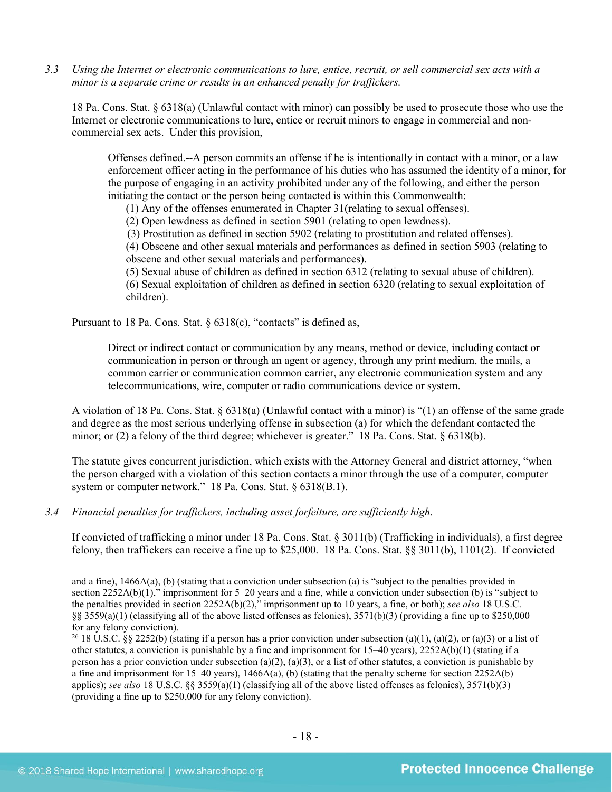*3.3 Using the Internet or electronic communications to lure, entice, recruit, or sell commercial sex acts with a minor is a separate crime or results in an enhanced penalty for traffickers.*

18 Pa. Cons. Stat. § 6318(a) (Unlawful contact with minor) can possibly be used to prosecute those who use the Internet or electronic communications to lure, entice or recruit minors to engage in commercial and noncommercial sex acts. Under this provision,

Offenses defined.--A person commits an offense if he is intentionally in contact with a minor, or a law enforcement officer acting in the performance of his duties who has assumed the identity of a minor, for the purpose of engaging in an activity prohibited under any of the following, and either the person initiating the contact or the person being contacted is within this Commonwealth:

(1) Any of the offenses enumerated in Chapter 31(relating to sexual offenses).

(2) Open lewdness as defined in section 5901 (relating to open lewdness).

(3) Prostitution as defined in section 5902 (relating to prostitution and related offenses).

(4) Obscene and other sexual materials and performances as defined in section 5903 (relating to obscene and other sexual materials and performances).

(5) Sexual abuse of children as defined in section 6312 (relating to sexual abuse of children).

(6) Sexual exploitation of children as defined in section 6320 (relating to sexual exploitation of children).

Pursuant to 18 Pa. Cons. Stat. § 6318(c), "contacts" is defined as,

Direct or indirect contact or communication by any means, method or device, including contact or communication in person or through an agent or agency, through any print medium, the mails, a common carrier or communication common carrier, any electronic communication system and any telecommunications, wire, computer or radio communications device or system.

A violation of 18 Pa. Cons. Stat. § 6318(a) (Unlawful contact with a minor) is "(1) an offense of the same grade and degree as the most serious underlying offense in subsection (a) for which the defendant contacted the minor; or (2) a felony of the third degree; whichever is greater." 18 Pa. Cons. Stat. § 6318(b).

The statute gives concurrent jurisdiction, which exists with the Attorney General and district attorney, "when the person charged with a violation of this section contacts a minor through the use of a computer, computer system or computer network." 18 Pa. Cons. Stat. § 6318(B.1).

*3.4 Financial penalties for traffickers, including asset forfeiture, are sufficiently high*.

If convicted of trafficking a minor under 18 Pa. Cons. Stat. § 3011(b) (Trafficking in individuals), a first degree felony, then traffickers can receive a fine up to \$25,000. 18 Pa. Cons. Stat. §§ 3011(b), 1101(2). If convicted

and a fine), 1466A(a), (b) (stating that a conviction under subsection (a) is "subject to the penalties provided in section 2252A(b)(1)," imprisonment for 5–20 years and a fine, while a conviction under subsection (b) is "subject to the penalties provided in section 2252A(b)(2)," imprisonment up to 10 years, a fine, or both); *see also* 18 U.S.C. §§ 3559(a)(1) (classifying all of the above listed offenses as felonies),  $3571(b)(3)$  (providing a fine up to \$250,000 for any felony conviction).

<sup>&</sup>lt;sup>26</sup> 18 U.S.C. §§ 2252(b) (stating if a person has a prior conviction under subsection (a)(1), (a)(2), or (a)(3) or a list of other statutes, a conviction is punishable by a fine and imprisonment for 15–40 years), 2252A(b)(1) (stating if a person has a prior conviction under subsection (a)(2), (a)(3), or a list of other statutes, a conviction is punishable by a fine and imprisonment for 15–40 years),  $1466A(a)$ , (b) (stating that the penalty scheme for section 2252A(b) applies); *see also* 18 U.S.C. §§ 3559(a)(1) (classifying all of the above listed offenses as felonies), 3571(b)(3) (providing a fine up to \$250,000 for any felony conviction).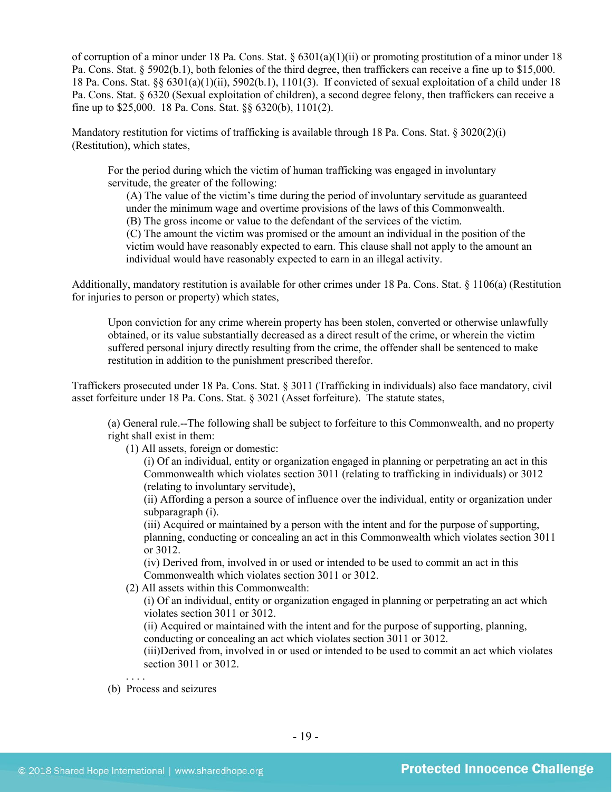of corruption of a minor under 18 Pa. Cons. Stat. § 6301(a)(1)(ii) or promoting prostitution of a minor under 18 Pa. Cons. Stat. § 5902(b.1), both felonies of the third degree, then traffickers can receive a fine up to \$15,000. 18 Pa. Cons. Stat. §§ 6301(a)(1)(ii), 5902(b.1), 1101(3). If convicted of sexual exploitation of a child under 18 Pa. Cons. Stat. § 6320 (Sexual exploitation of children), a second degree felony, then traffickers can receive a fine up to \$25,000. 18 Pa. Cons. Stat. §§ 6320(b), 1101(2).

Mandatory restitution for victims of trafficking is available through 18 Pa. Cons. Stat. § 3020(2)(i) (Restitution), which states,

For the period during which the victim of human trafficking was engaged in involuntary servitude, the greater of the following:

(A) The value of the victim's time during the period of involuntary servitude as guaranteed under the minimum wage and overtime provisions of the laws of this Commonwealth.

(B) The gross income or value to the defendant of the services of the victim.

(C) The amount the victim was promised or the amount an individual in the position of the victim would have reasonably expected to earn. This clause shall not apply to the amount an individual would have reasonably expected to earn in an illegal activity.

Additionally, mandatory restitution is available for other crimes under 18 Pa. Cons. Stat. § 1106(a) (Restitution for injuries to person or property) which states,

Upon conviction for any crime wherein property has been stolen, converted or otherwise unlawfully obtained, or its value substantially decreased as a direct result of the crime, or wherein the victim suffered personal injury directly resulting from the crime, the offender shall be sentenced to make restitution in addition to the punishment prescribed therefor.

Traffickers prosecuted under 18 Pa. Cons. Stat. § 3011 (Trafficking in individuals) also face mandatory, civil asset forfeiture under 18 Pa. Cons. Stat. § 3021 (Asset forfeiture). The statute states,

(a) General rule.--The following shall be subject to forfeiture to this Commonwealth, and no property right shall exist in them:

(1) All assets, foreign or domestic:

(i) Of an individual, entity or organization engaged in planning or perpetrating an act in this Commonwealth which violates section 3011 (relating to trafficking in individuals) or 3012 (relating to involuntary servitude),

(ii) Affording a person a source of influence over the individual, entity or organization under subparagraph (i).

(iii) Acquired or maintained by a person with the intent and for the purpose of supporting, planning, conducting or concealing an act in this Commonwealth which violates section 3011 or 3012.

(iv) Derived from, involved in or used or intended to be used to commit an act in this Commonwealth which violates section 3011 or 3012.

(2) All assets within this Commonwealth:

(i) Of an individual, entity or organization engaged in planning or perpetrating an act which violates section 3011 or 3012.

(ii) Acquired or maintained with the intent and for the purpose of supporting, planning, conducting or concealing an act which violates section 3011 or 3012.

(iii)Derived from, involved in or used or intended to be used to commit an act which violates section 3011 or 3012.

. . . . (b) Process and seizures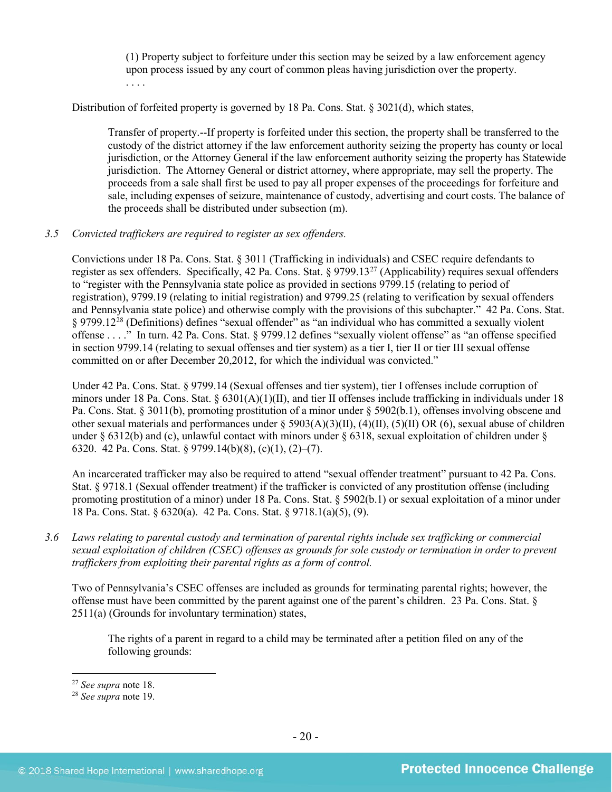(1) Property subject to forfeiture under this section may be seized by a law enforcement agency upon process issued by any court of common pleas having jurisdiction over the property. . . . .

Distribution of forfeited property is governed by 18 Pa. Cons. Stat. § 3021(d), which states,

Transfer of property.--If property is forfeited under this section, the property shall be transferred to the custody of the district attorney if the law enforcement authority seizing the property has county or local jurisdiction, or the Attorney General if the law enforcement authority seizing the property has Statewide jurisdiction. The Attorney General or district attorney, where appropriate, may sell the property. The proceeds from a sale shall first be used to pay all proper expenses of the proceedings for forfeiture and sale, including expenses of seizure, maintenance of custody, advertising and court costs. The balance of the proceeds shall be distributed under subsection (m).

# *3.5 Convicted traffickers are required to register as sex offenders.*

Convictions under 18 Pa. Cons. Stat. § 3011 (Trafficking in individuals) and CSEC require defendants to register as sex offenders. Specifically, 42 Pa. Cons. Stat. § 9799.1[327](#page-19-0) (Applicability) requires sexual offenders to "register with the Pennsylvania state police as provided in sections 9799.15 (relating to period of registration), 9799.19 (relating to initial registration) and 9799.25 (relating to verification by sexual offenders and Pennsylvania state police) and otherwise comply with the provisions of this subchapter." 42 Pa. Cons. Stat. § 9799.12<sup>[28](#page-19-1)</sup> (Definitions) defines "sexual offender" as "an individual who has committed a sexually violent offense . . . ." In turn. 42 Pa. Cons. Stat. § 9799.12 defines "sexually violent offense" as "an offense specified in section 9799.14 (relating to sexual offenses and tier system) as a tier I, tier II or tier III sexual offense committed on or after December 20,2012, for which the individual was convicted."

Under 42 Pa. Cons. Stat. § 9799.14 (Sexual offenses and tier system), tier I offenses include corruption of minors under 18 Pa. Cons. Stat.  $\S 6301(A)(1)(II)$ , and tier II offenses include trafficking in individuals under 18 Pa. Cons. Stat. § 3011(b), promoting prostitution of a minor under § 5902(b.1), offenses involving obscene and other sexual materials and performances under § 5903(A)(3)(II), (4)(II), (5)(II) OR (6), sexual abuse of children under § 6312(b) and (c), unlawful contact with minors under § 6318, sexual exploitation of children under § 6320. 42 Pa. Cons. Stat. § 9799.14(b)(8), (c)(1), (2)–(7).

An incarcerated trafficker may also be required to attend "sexual offender treatment" pursuant to 42 Pa. Cons. Stat. § 9718.1 (Sexual offender treatment) if the trafficker is convicted of any prostitution offense (including promoting prostitution of a minor) under 18 Pa. Cons. Stat. § 5902(b.1) or sexual exploitation of a minor under 18 Pa. Cons. Stat. § 6320(a). 42 Pa. Cons. Stat. § 9718.1(a)(5), (9).

*3.6 Laws relating to parental custody and termination of parental rights include sex trafficking or commercial sexual exploitation of children (CSEC) offenses as grounds for sole custody or termination in order to prevent traffickers from exploiting their parental rights as a form of control.* 

Two of Pennsylvania's CSEC offenses are included as grounds for terminating parental rights; however, the offense must have been committed by the parent against one of the parent's children. 23 Pa. Cons. Stat. § 2511(a) (Grounds for involuntary termination) states,

The rights of a parent in regard to a child may be terminated after a petition filed on any of the following grounds:

<span id="page-19-0"></span> <sup>27</sup> *See supra* note [18.](#page-13-2)

<span id="page-19-1"></span><sup>28</sup> *See supra* note [19.](#page-13-3)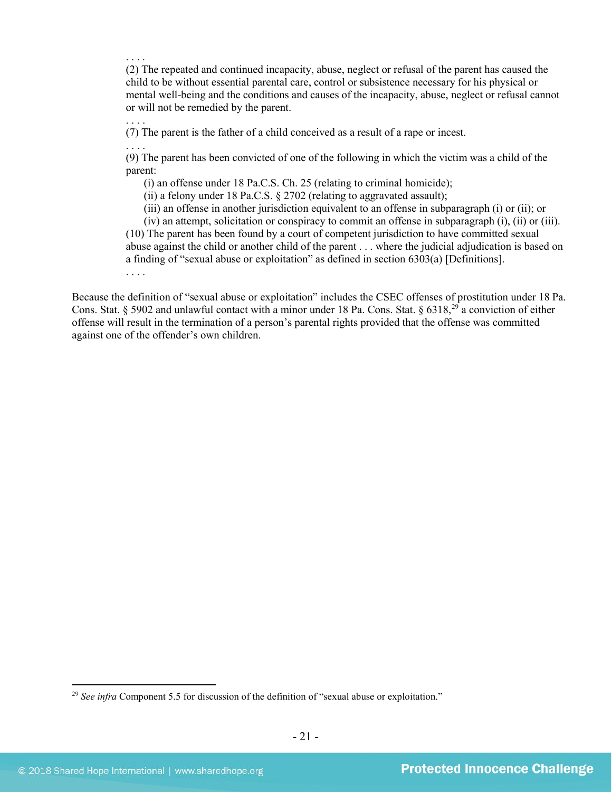. . . .

(2) The repeated and continued incapacity, abuse, neglect or refusal of the parent has caused the child to be without essential parental care, control or subsistence necessary for his physical or mental well-being and the conditions and causes of the incapacity, abuse, neglect or refusal cannot or will not be remedied by the parent.

. . . . (7) The parent is the father of a child conceived as a result of a rape or incest.

. . . . (9) The parent has been convicted of one of the following in which the victim was a child of the parent:

(i) an offense under 18 Pa.C.S. Ch. 25 (relating to criminal homicide);

(ii) a felony under 18 Pa.C.S. § 2702 (relating to aggravated assault);

(iii) an offense in another jurisdiction equivalent to an offense in subparagraph (i) or (ii); or

(iv) an attempt, solicitation or conspiracy to commit an offense in subparagraph (i), (ii) or (iii). (10) The parent has been found by a court of competent jurisdiction to have committed sexual abuse against the child or another child of the parent . . . where the judicial adjudication is based on a finding of "sexual abuse or exploitation" as defined in section 6303(a) [Definitions].

. . . .

Because the definition of "sexual abuse or exploitation" includes the CSEC offenses of prostitution under 18 Pa. Cons. Stat. § 5902 and unlawful contact with a minor under 18 Pa. Cons. Stat. § 6318,<sup>[29](#page-20-0)</sup> a conviction of either offense will result in the termination of a person's parental rights provided that the offense was committed against one of the offender's own children.

<span id="page-20-0"></span><sup>&</sup>lt;sup>29</sup> See infra Component 5.5 for discussion of the definition of "sexual abuse or exploitation."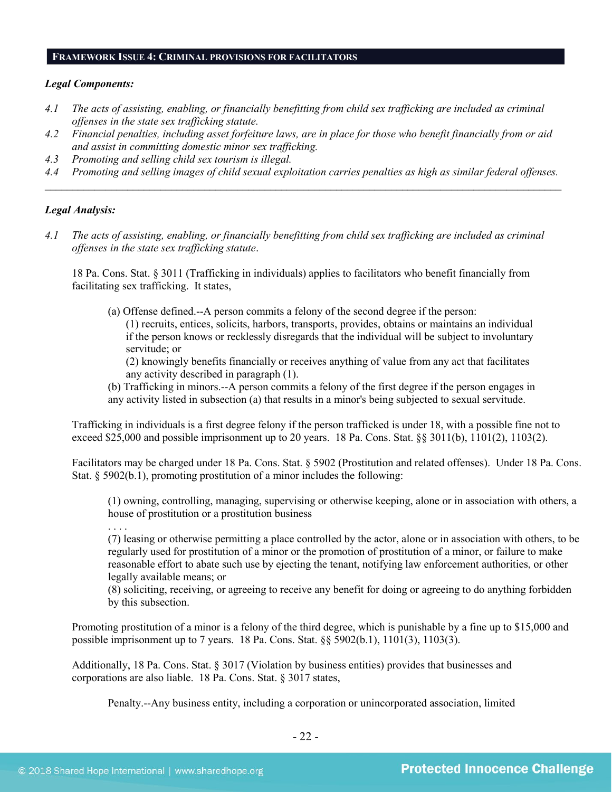#### **FRAMEWORK ISSUE 4: CRIMINAL PROVISIONS FOR FACILITATORS**

#### *Legal Components:*

- *4.1 The acts of assisting, enabling, or financially benefitting from child sex trafficking are included as criminal offenses in the state sex trafficking statute.*
- *4.2 Financial penalties, including asset forfeiture laws, are in place for those who benefit financially from or aid and assist in committing domestic minor sex trafficking.*
- *4.3 Promoting and selling child sex tourism is illegal.*
- *4.4 Promoting and selling images of child sexual exploitation carries penalties as high as similar federal offenses. \_\_\_\_\_\_\_\_\_\_\_\_\_\_\_\_\_\_\_\_\_\_\_\_\_\_\_\_\_\_\_\_\_\_\_\_\_\_\_\_\_\_\_\_\_\_\_\_\_\_\_\_\_\_\_\_\_\_\_\_\_\_\_\_\_\_\_\_\_\_\_\_\_\_\_\_\_\_\_\_\_\_\_\_\_\_\_\_\_\_\_\_\_\_*

#### *Legal Analysis:*

*4.1 The acts of assisting, enabling, or financially benefitting from child sex trafficking are included as criminal offenses in the state sex trafficking statute*.

18 Pa. Cons. Stat. § 3011 (Trafficking in individuals) applies to facilitators who benefit financially from facilitating sex trafficking. It states,

(a) Offense defined.--A person commits a felony of the second degree if the person: (1) recruits, entices, solicits, harbors, transports, provides, obtains or maintains an individual if the person knows or recklessly disregards that the individual will be subject to involuntary servitude; or

(2) knowingly benefits financially or receives anything of value from any act that facilitates any activity described in paragraph (1).

(b) Trafficking in minors.--A person commits a felony of the first degree if the person engages in any activity listed in subsection (a) that results in a minor's being subjected to sexual servitude.

Trafficking in individuals is a first degree felony if the person trafficked is under 18, with a possible fine not to exceed \$25,000 and possible imprisonment up to 20 years. 18 Pa. Cons. Stat. §§ 3011(b), 1101(2), 1103(2).

Facilitators may be charged under 18 Pa. Cons. Stat. § 5902 (Prostitution and related offenses). Under 18 Pa. Cons. Stat. § 5902(b.1), promoting prostitution of a minor includes the following:

(1) owning, controlling, managing, supervising or otherwise keeping, alone or in association with others, a house of prostitution or a prostitution business

. . . .

(7) leasing or otherwise permitting a place controlled by the actor, alone or in association with others, to be regularly used for prostitution of a minor or the promotion of prostitution of a minor, or failure to make reasonable effort to abate such use by ejecting the tenant, notifying law enforcement authorities, or other legally available means; or

(8) soliciting, receiving, or agreeing to receive any benefit for doing or agreeing to do anything forbidden by this subsection.

Promoting prostitution of a minor is a felony of the third degree, which is punishable by a fine up to \$15,000 and possible imprisonment up to 7 years. 18 Pa. Cons. Stat. §§ 5902(b.1), 1101(3), 1103(3).

Additionally, 18 Pa. Cons. Stat. § 3017 (Violation by business entities) provides that businesses and corporations are also liable. 18 Pa. Cons. Stat. § 3017 states,

Penalty.--Any business entity, including a corporation or unincorporated association, limited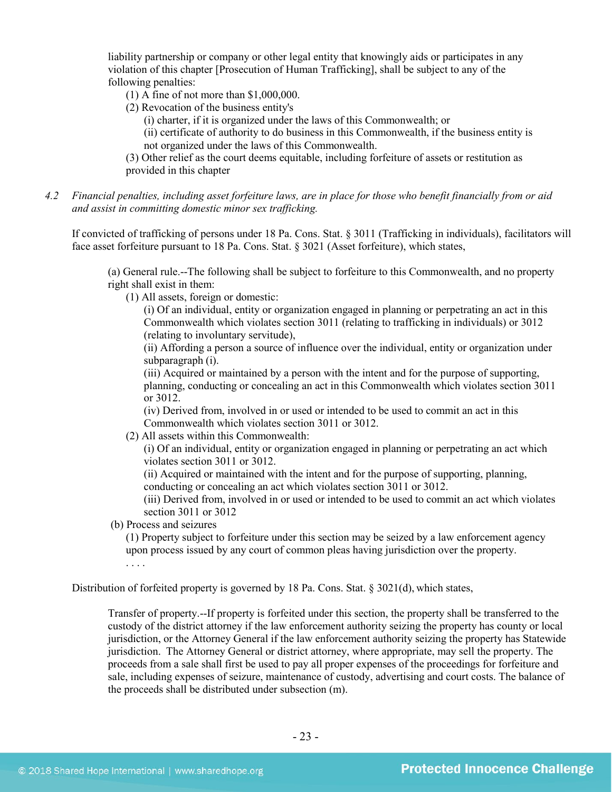liability partnership or company or other legal entity that knowingly aids or participates in any violation of this chapter [Prosecution of Human Trafficking], shall be subject to any of the following penalties:

- (1) A fine of not more than \$1,000,000.
- (2) Revocation of the business entity's

(i) charter, if it is organized under the laws of this Commonwealth; or

(ii) certificate of authority to do business in this Commonwealth, if the business entity is not organized under the laws of this Commonwealth.

(3) Other relief as the court deems equitable, including forfeiture of assets or restitution as provided in this chapter

*4.2 Financial penalties, including asset forfeiture laws, are in place for those who benefit financially from or aid and assist in committing domestic minor sex trafficking.*

If convicted of trafficking of persons under 18 Pa. Cons. Stat. § 3011 (Trafficking in individuals), facilitators will face asset forfeiture pursuant to 18 Pa. Cons. Stat. § 3021 (Asset forfeiture), which states,

(a) General rule.--The following shall be subject to forfeiture to this Commonwealth, and no property right shall exist in them:

(1) All assets, foreign or domestic:

(i) Of an individual, entity or organization engaged in planning or perpetrating an act in this Commonwealth which violates section 3011 (relating to trafficking in individuals) or 3012 (relating to involuntary servitude),

(ii) Affording a person a source of influence over the individual, entity or organization under subparagraph (i).

(iii) Acquired or maintained by a person with the intent and for the purpose of supporting, planning, conducting or concealing an act in this Commonwealth which violates section 3011 or 3012.

(iv) Derived from, involved in or used or intended to be used to commit an act in this Commonwealth which violates section 3011 or 3012.

(2) All assets within this Commonwealth:

(i) Of an individual, entity or organization engaged in planning or perpetrating an act which violates section 3011 or 3012.

(ii) Acquired or maintained with the intent and for the purpose of supporting, planning, conducting or concealing an act which violates section 3011 or 3012.

(iii) Derived from, involved in or used or intended to be used to commit an act which violates section 3011 or 3012

(b) Process and seizures

(1) Property subject to forfeiture under this section may be seized by a law enforcement agency upon process issued by any court of common pleas having jurisdiction over the property. . . . .

Distribution of forfeited property is governed by 18 Pa. Cons. Stat. § 3021(d), which states,

Transfer of property.--If property is forfeited under this section, the property shall be transferred to the custody of the district attorney if the law enforcement authority seizing the property has county or local jurisdiction, or the Attorney General if the law enforcement authority seizing the property has Statewide jurisdiction. The Attorney General or district attorney, where appropriate, may sell the property. The proceeds from a sale shall first be used to pay all proper expenses of the proceedings for forfeiture and sale, including expenses of seizure, maintenance of custody, advertising and court costs. The balance of the proceeds shall be distributed under subsection (m).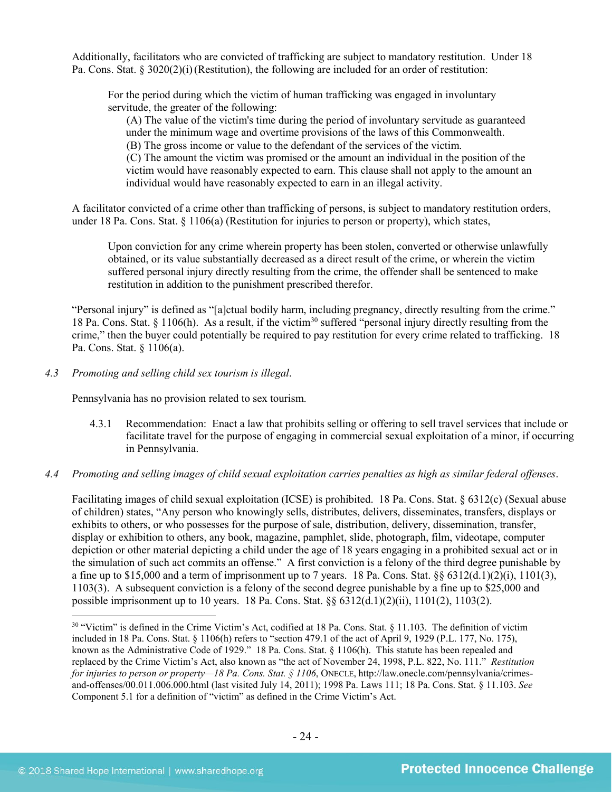Additionally, facilitators who are convicted of trafficking are subject to mandatory restitution. Under 18 Pa. Cons. Stat. § 3020(2)(i)(Restitution), the following are included for an order of restitution:

For the period during which the victim of human trafficking was engaged in involuntary servitude, the greater of the following:

(A) The value of the victim's time during the period of involuntary servitude as guaranteed under the minimum wage and overtime provisions of the laws of this Commonwealth. (B) The gross income or value to the defendant of the services of the victim.

(C) The amount the victim was promised or the amount an individual in the position of the victim would have reasonably expected to earn. This clause shall not apply to the amount an individual would have reasonably expected to earn in an illegal activity.

A facilitator convicted of a crime other than trafficking of persons, is subject to mandatory restitution orders, under 18 Pa. Cons. Stat. § 1106(a) (Restitution for injuries to person or property), which states,

Upon conviction for any crime wherein property has been stolen, converted or otherwise unlawfully obtained, or its value substantially decreased as a direct result of the crime, or wherein the victim suffered personal injury directly resulting from the crime, the offender shall be sentenced to make restitution in addition to the punishment prescribed therefor.

"Personal injury" is defined as "[a]ctual bodily harm, including pregnancy, directly resulting from the crime." 18 Pa. Cons. Stat. § 1106(h). As a result, if the victim<sup>[30](#page-23-0)</sup> suffered "personal injury directly resulting from the crime," then the buyer could potentially be required to pay restitution for every crime related to trafficking. 18 Pa. Cons. Stat. § 1106(a).

*4.3 Promoting and selling child sex tourism is illegal*.

Pennsylvania has no provision related to sex tourism.

- 4.3.1 Recommendation: Enact a law that prohibits selling or offering to sell travel services that include or facilitate travel for the purpose of engaging in commercial sexual exploitation of a minor, if occurring in Pennsylvania.
- *4.4 Promoting and selling images of child sexual exploitation carries penalties as high as similar federal offenses*.

Facilitating images of child sexual exploitation (ICSE) is prohibited. 18 Pa. Cons. Stat. § 6312(c) (Sexual abuse of children) states, "Any person who knowingly sells, distributes, delivers, disseminates, transfers, displays or exhibits to others, or who possesses for the purpose of sale, distribution, delivery, dissemination, transfer, display or exhibition to others, any book, magazine, pamphlet, slide, photograph, film, videotape, computer depiction or other material depicting a child under the age of 18 years engaging in a prohibited sexual act or in the simulation of such act commits an offense." A first conviction is a felony of the third degree punishable by a fine up to \$15,000 and a term of imprisonment up to 7 years. 18 Pa. Cons. Stat.  $\S$ § 6312(d.1)(2)(i), 1101(3), 1103(3). A subsequent conviction is a felony of the second degree punishable by a fine up to \$25,000 and possible imprisonment up to 10 years. 18 Pa. Cons. Stat. §§ 6312(d.1)(2)(ii), 1101(2), 1103(2).

<span id="page-23-0"></span><sup>&</sup>lt;sup>30</sup> "Victim" is defined in the Crime Victim's Act, codified at 18 Pa. Cons. Stat. § 11.103. The definition of victim included in 18 Pa. Cons. Stat. § 1106(h) refers to "section 479.1 of the act of April 9, 1929 (P.L. 177, No. 175), known as the Administrative Code of 1929." 18 Pa. Cons. Stat. § 1106(h). This statute has been repealed and replaced by the Crime Victim's Act, also known as "the act of November 24, 1998, P.L. 822, No. 111." *Restitution for injuries to person or property—18 Pa. Cons. Stat. § 1106*, ONECLE, http://law.onecle.com/pennsylvania/crimesand-offenses/00.011.006.000.html (last visited July 14, 2011); 1998 Pa. Laws 111; 18 Pa. Cons. Stat. § 11.103. *See* Component 5.1 for a definition of "victim" as defined in the Crime Victim's Act.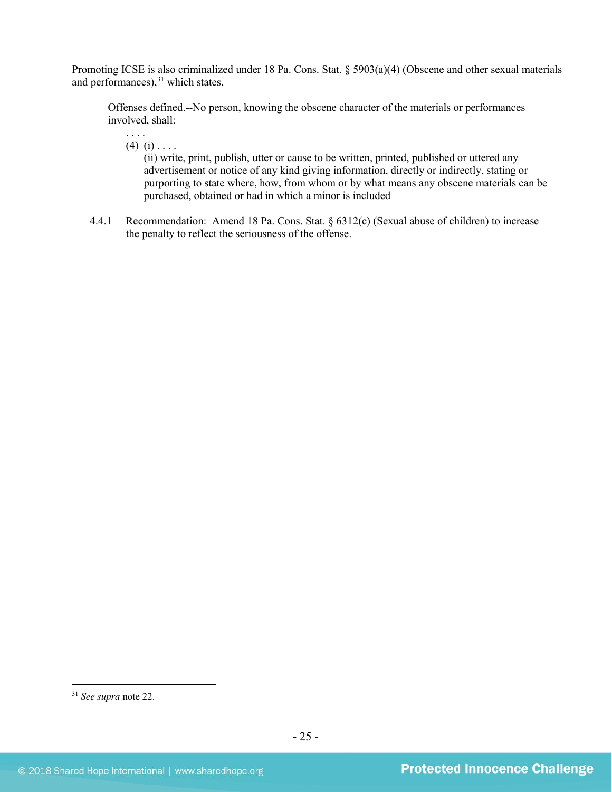Promoting ICSE is also criminalized under 18 Pa. Cons. Stat. § 5903(a)(4) (Obscene and other sexual materials and performances), [31](#page-24-0) which states,

Offenses defined.--No person, knowing the obscene character of the materials or performances involved, shall:

. . . .  $(4)$   $(i)$  . . . .

(ii) write, print, publish, utter or cause to be written, printed, published or uttered any advertisement or notice of any kind giving information, directly or indirectly, stating or purporting to state where, how, from whom or by what means any obscene materials can be purchased, obtained or had in which a minor is included

4.4.1 Recommendation: Amend 18 Pa. Cons. Stat. § 6312(c) (Sexual abuse of children) to increase the penalty to reflect the seriousness of the offense.

<span id="page-24-0"></span> <sup>31</sup> *See supra* note [22.](#page-16-4)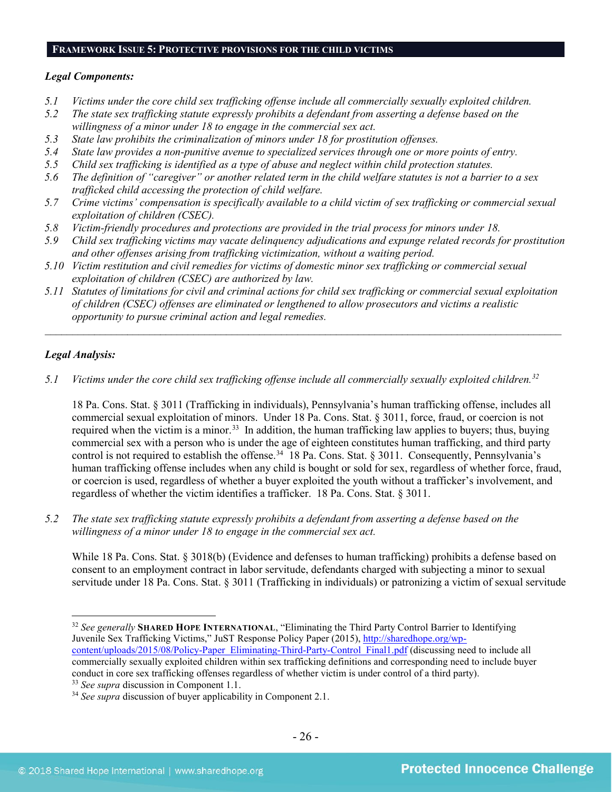# **FRAMEWORK ISSUE 5: PROTECTIVE PROVISIONS FOR THE CHILD VICTIMS**

#### *Legal Components:*

- *5.1 Victims under the core child sex trafficking offense include all commercially sexually exploited children.*
- *5.2 The state sex trafficking statute expressly prohibits a defendant from asserting a defense based on the willingness of a minor under 18 to engage in the commercial sex act.*
- *5.3 State law prohibits the criminalization of minors under 18 for prostitution offenses.*
- *5.4 State law provides a non-punitive avenue to specialized services through one or more points of entry.*
- *5.5 Child sex trafficking is identified as a type of abuse and neglect within child protection statutes.*
- *5.6 The definition of "caregiver" or another related term in the child welfare statutes is not a barrier to a sex trafficked child accessing the protection of child welfare.*
- *5.7 Crime victims' compensation is specifically available to a child victim of sex trafficking or commercial sexual exploitation of children (CSEC).*
- *5.8 Victim-friendly procedures and protections are provided in the trial process for minors under 18.*
- *5.9 Child sex trafficking victims may vacate delinquency adjudications and expunge related records for prostitution and other offenses arising from trafficking victimization, without a waiting period.*
- *5.10 Victim restitution and civil remedies for victims of domestic minor sex trafficking or commercial sexual exploitation of children (CSEC) are authorized by law.*
- *5.11 Statutes of limitations for civil and criminal actions for child sex trafficking or commercial sexual exploitation of children (CSEC) offenses are eliminated or lengthened to allow prosecutors and victims a realistic opportunity to pursue criminal action and legal remedies.*

*\_\_\_\_\_\_\_\_\_\_\_\_\_\_\_\_\_\_\_\_\_\_\_\_\_\_\_\_\_\_\_\_\_\_\_\_\_\_\_\_\_\_\_\_\_\_\_\_\_\_\_\_\_\_\_\_\_\_\_\_\_\_\_\_\_\_\_\_\_\_\_\_\_\_\_\_\_\_\_\_\_\_\_\_\_\_\_\_\_\_\_\_\_\_*

# *Legal Analysis:*

*5.1 Victims under the core child sex trafficking offense include all commercially sexually exploited children. [32](#page-25-0)*

18 Pa. Cons. Stat. § 3011 (Trafficking in individuals), Pennsylvania's human trafficking offense, includes all commercial sexual exploitation of minors. Under 18 Pa. Cons. Stat. § 3011, force, fraud, or coercion is not required when the victim is a minor.<sup>[33](#page-25-1)</sup> In addition, the human trafficking law applies to buyers; thus, buying commercial sex with a person who is under the age of eighteen constitutes human trafficking, and third party control is not required to establish the offense.<sup>34</sup> 18 Pa. Cons. Stat. § 3011. Consequently, Pennsylvania's human trafficking offense includes when any child is bought or sold for sex, regardless of whether force, fraud, or coercion is used, regardless of whether a buyer exploited the youth without a trafficker's involvement, and regardless of whether the victim identifies a trafficker. 18 Pa. Cons. Stat. § 3011.

*5.2 The state sex trafficking statute expressly prohibits a defendant from asserting a defense based on the willingness of a minor under 18 to engage in the commercial sex act.*

While 18 Pa. Cons. Stat. § 3018(b) (Evidence and defenses to human trafficking) prohibits a defense based on consent to an employment contract in labor servitude, defendants charged with subjecting a minor to sexual servitude under 18 Pa. Cons. Stat. § 3011 (Trafficking in individuals) or patronizing a victim of sexual servitude

<span id="page-25-0"></span> <sup>32</sup> *See generally* **SHARED HOPE INTERNATIONAL**, "Eliminating the Third Party Control Barrier to Identifying Juvenile Sex Trafficking Victims," JuST Response Policy Paper (2015), [http://sharedhope.org/wp](http://sharedhope.org/wp-content/uploads/2015/08/Policy-Paper_Eliminating-Third-Party-Control_Final1.pdf)[content/uploads/2015/08/Policy-Paper\\_Eliminating-Third-Party-Control\\_Final1.pdf](http://sharedhope.org/wp-content/uploads/2015/08/Policy-Paper_Eliminating-Third-Party-Control_Final1.pdf) (discussing need to include all commercially sexually exploited children within sex trafficking definitions and corresponding need to include buyer conduct in core sex trafficking offenses regardless of whether victim is under control of a third party).<br><sup>33</sup> See supra discussion in Component 1.1.

<span id="page-25-2"></span><span id="page-25-1"></span><sup>&</sup>lt;sup>34</sup> *See supra* discussion of buyer applicability in Component 2.1.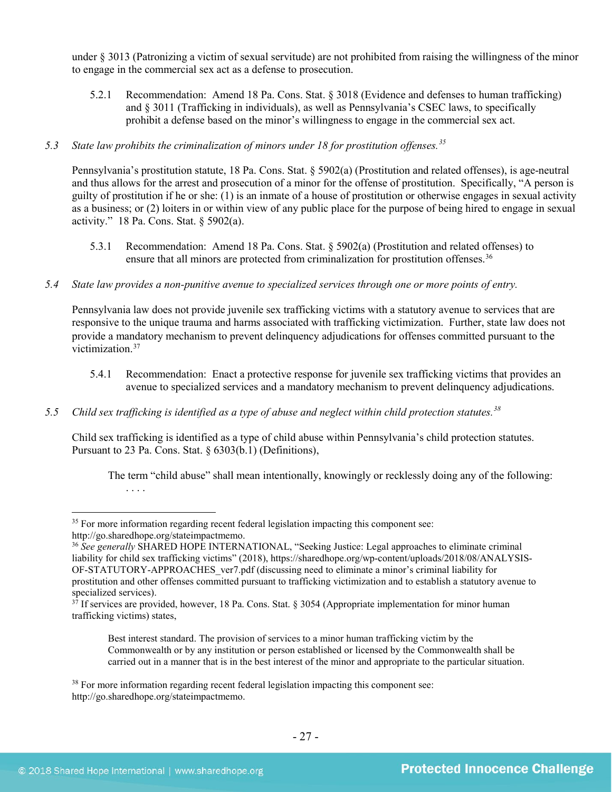under § 3013 (Patronizing a victim of sexual servitude) are not prohibited from raising the willingness of the minor to engage in the commercial sex act as a defense to prosecution.

5.2.1 Recommendation: Amend 18 Pa. Cons. Stat. § 3018 (Evidence and defenses to human trafficking) and § 3011 (Trafficking in individuals), as well as Pennsylvania's CSEC laws, to specifically prohibit a defense based on the minor's willingness to engage in the commercial sex act.

# *5.3 State law prohibits the criminalization of minors under 18 for prostitution offenses.[35](#page-26-0)*

Pennsylvania's prostitution statute, 18 Pa. Cons. Stat. § 5902(a) (Prostitution and related offenses), is age-neutral and thus allows for the arrest and prosecution of a minor for the offense of prostitution. Specifically, "A person is guilty of prostitution if he or she: (1) is an inmate of a house of prostitution or otherwise engages in sexual activity as a business; or (2) loiters in or within view of any public place for the purpose of being hired to engage in sexual activity." 18 Pa. Cons. Stat. § 5902(a).

- 5.3.1 Recommendation: Amend 18 Pa. Cons. Stat. § 5902(a) (Prostitution and related offenses) to ensure that all minors are protected from criminalization for prostitution offenses.<sup>[36](#page-26-1)</sup>
- *5.4 State law provides a non-punitive avenue to specialized services through one or more points of entry.*

Pennsylvania law does not provide juvenile sex trafficking victims with a statutory avenue to services that are responsive to the unique trauma and harms associated with trafficking victimization. Further, state law does not provide a mandatory mechanism to prevent delinquency adjudications for offenses committed pursuant to the victimization. [37](#page-26-2)

- 5.4.1 Recommendation: Enact a protective response for juvenile sex trafficking victims that provides an avenue to specialized services and a mandatory mechanism to prevent delinquency adjudications.
- *5.5 Child sex trafficking is identified as a type of abuse and neglect within child protection statutes. [38](#page-26-3)*

Child sex trafficking is identified as a type of child abuse within Pennsylvania's child protection statutes. Pursuant to 23 Pa. Cons. Stat. § 6303(b.1) (Definitions),

The term "child abuse" shall mean intentionally, knowingly or recklessly doing any of the following: . . . .

Best interest standard. The provision of services to a minor human trafficking victim by the Commonwealth or by any institution or person established or licensed by the Commonwealth shall be carried out in a manner that is in the best interest of the minor and appropriate to the particular situation.

<span id="page-26-0"></span><sup>&</sup>lt;sup>35</sup> For more information regarding recent federal legislation impacting this component see: http://go.sharedhope.org/stateimpactmemo.

<span id="page-26-1"></span><sup>36</sup> *See generally* SHARED HOPE INTERNATIONAL, "Seeking Justice: Legal approaches to eliminate criminal liability for child sex trafficking victims" (2018), https://sharedhope.org/wp-content/uploads/2018/08/ANALYSIS-OF-STATUTORY-APPROACHES\_ver7.pdf (discussing need to eliminate a minor's criminal liability for prostitution and other offenses committed pursuant to trafficking victimization and to establish a statutory avenue to specialized services).

<span id="page-26-2"></span> $3^7$  If services are provided, however, 18 Pa. Cons. Stat. § 3054 (Appropriate implementation for minor human trafficking victims) states,

<span id="page-26-3"></span><sup>&</sup>lt;sup>38</sup> For more information regarding recent federal legislation impacting this component see: http://go.sharedhope.org/stateimpactmemo.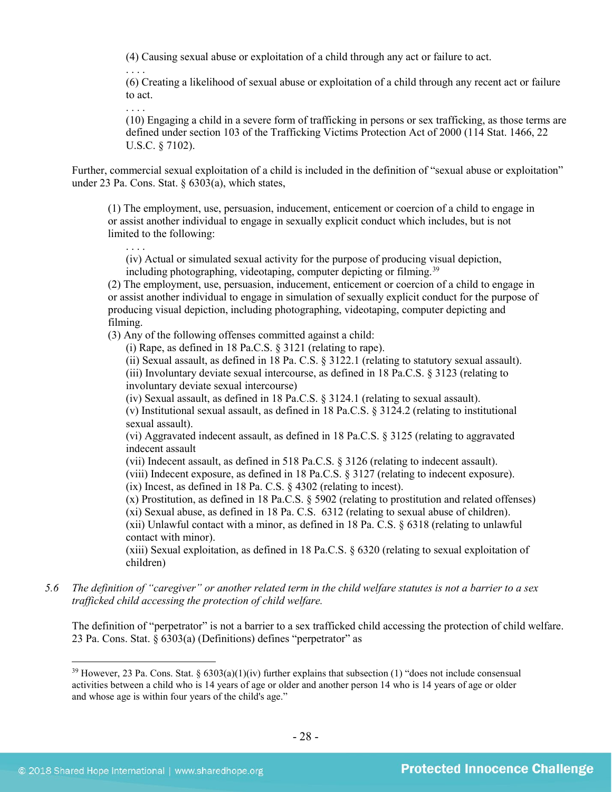(4) Causing sexual abuse or exploitation of a child through any act or failure to act.

(6) Creating a likelihood of sexual abuse or exploitation of a child through any recent act or failure to act.

. . . .

(10) Engaging a child in a severe form of trafficking in persons or sex trafficking, as those terms are defined under section 103 of the Trafficking Victims Protection Act of 2000 (114 Stat. 1466, 22 U.S.C. § 7102).

Further, commercial sexual exploitation of a child is included in the definition of "sexual abuse or exploitation" under 23 Pa. Cons. Stat. § 6303(a), which states,

(1) The employment, use, persuasion, inducement, enticement or coercion of a child to engage in or assist another individual to engage in sexually explicit conduct which includes, but is not limited to the following:

(iv) Actual or simulated sexual activity for the purpose of producing visual depiction, including photographing, videotaping, computer depicting or filming.<sup>[39](#page-27-0)</sup>

(2) The employment, use, persuasion, inducement, enticement or coercion of a child to engage in or assist another individual to engage in simulation of sexually explicit conduct for the purpose of producing visual depiction, including photographing, videotaping, computer depicting and filming.

(3) Any of the following offenses committed against a child:

(i) Rape, as defined in 18 Pa.C.S. § 3121 (relating to rape).

(ii) Sexual assault, as defined in 18 Pa. C.S. § 3122.1 (relating to statutory sexual assault).

(iii) Involuntary deviate sexual intercourse, as defined in 18 Pa.C.S. § 3123 (relating to involuntary deviate sexual intercourse)

(iv) Sexual assault, as defined in 18 Pa.C.S. § 3124.1 (relating to sexual assault).

(v) Institutional sexual assault, as defined in 18 Pa.C.S. § 3124.2 (relating to institutional sexual assault).

(vi) Aggravated indecent assault, as defined in 18 Pa.C.S. § 3125 (relating to aggravated indecent assault

(vii) Indecent assault, as defined in 518 Pa.C.S. § 3126 (relating to indecent assault).

(viii) Indecent exposure, as defined in 18 Pa.C.S. § 3127 (relating to indecent exposure). (ix) Incest, as defined in 18 Pa. C.S. § 4302 (relating to incest).

(x) Prostitution, as defined in 18 Pa.C.S. § 5902 (relating to prostitution and related offenses) (xi) Sexual abuse, as defined in 18 Pa. C.S. 6312 (relating to sexual abuse of children). (xii) Unlawful contact with a minor, as defined in 18 Pa. C.S. § 6318 (relating to unlawful contact with minor).

(xiii) Sexual exploitation, as defined in 18 Pa.C.S. § 6320 (relating to sexual exploitation of children)

*5.6 The definition of "caregiver" or another related term in the child welfare statutes is not a barrier to a sex trafficked child accessing the protection of child welfare.*

The definition of "perpetrator" is not a barrier to a sex trafficked child accessing the protection of child welfare. 23 Pa. Cons. Stat. § 6303(a) (Definitions) defines "perpetrator" as

<span id="page-27-0"></span><sup>&</sup>lt;sup>39</sup> However, 23 Pa. Cons. Stat. §  $6303(a)(1)(iv)$  further explains that subsection (1) "does not include consensual activities between a child who is 14 years of age or older and another person 14 who is 14 years of age or older and whose age is within four years of the child's age."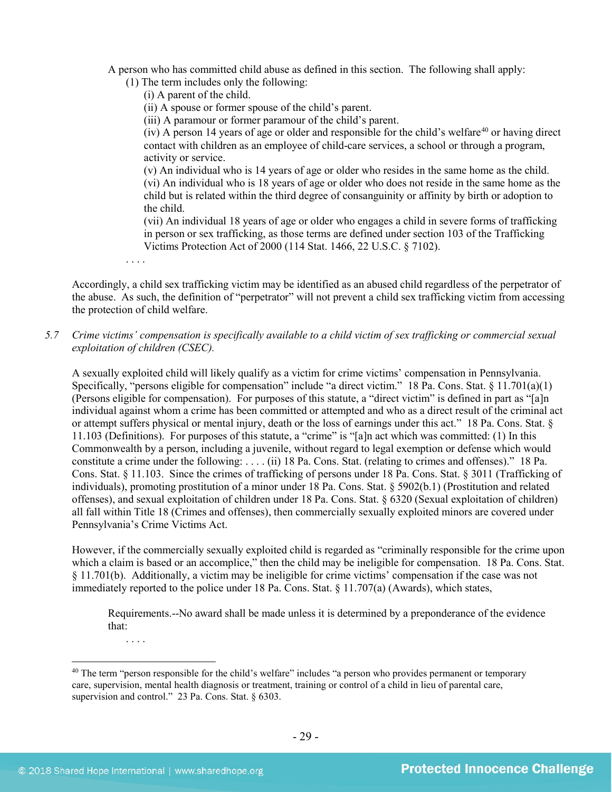A person who has committed child abuse as defined in this section. The following shall apply:

(1) The term includes only the following:

(i) A parent of the child.

(ii) A spouse or former spouse of the child's parent.

(iii) A paramour or former paramour of the child's parent.

 $(iv)$  A person 14 years of age or older and responsible for the child's welfare<sup>[40](#page-28-0)</sup> or having direct contact with children as an employee of child-care services, a school or through a program, activity or service.

(v) An individual who is 14 years of age or older who resides in the same home as the child. (vi) An individual who is 18 years of age or older who does not reside in the same home as the child but is related within the third degree of consanguinity or affinity by birth or adoption to the child.

(vii) An individual 18 years of age or older who engages a child in severe forms of trafficking in person or sex trafficking, as those terms are defined under section 103 of the Trafficking Victims Protection Act of 2000 (114 Stat. 1466, 22 U.S.C. § 7102).

. . . .

Accordingly, a child sex trafficking victim may be identified as an abused child regardless of the perpetrator of the abuse. As such, the definition of "perpetrator" will not prevent a child sex trafficking victim from accessing the protection of child welfare.

# *5.7 Crime victims' compensation is specifically available to a child victim of sex trafficking or commercial sexual exploitation of children (CSEC).*

A sexually exploited child will likely qualify as a victim for crime victims' compensation in Pennsylvania. Specifically, "persons eligible for compensation" include "a direct victim." 18 Pa. Cons. Stat. § 11.701(a)(1) (Persons eligible for compensation). For purposes of this statute, a "direct victim" is defined in part as "[a]n individual against whom a crime has been committed or attempted and who as a direct result of the criminal act or attempt suffers physical or mental injury, death or the loss of earnings under this act." 18 Pa. Cons. Stat. § 11.103 (Definitions). For purposes of this statute, a "crime" is "[a]n act which was committed: (1) In this Commonwealth by a person, including a juvenile, without regard to legal exemption or defense which would constitute a crime under the following: . . . . (ii) 18 Pa. Cons. Stat. (relating to crimes and offenses)." 18 Pa. Cons. Stat. § 11.103. Since the crimes of trafficking of persons under 18 Pa. Cons. Stat. § 3011 (Trafficking of individuals), promoting prostitution of a minor under 18 Pa. Cons. Stat. § 5902(b.1) (Prostitution and related offenses), and sexual exploitation of children under 18 Pa. Cons. Stat. § 6320 (Sexual exploitation of children) all fall within Title 18 (Crimes and offenses), then commercially sexually exploited minors are covered under Pennsylvania's Crime Victims Act.

However, if the commercially sexually exploited child is regarded as "criminally responsible for the crime upon which a claim is based or an accomplice," then the child may be ineligible for compensation. 18 Pa. Cons. Stat. § 11.701(b). Additionally, a victim may be ineligible for crime victims' compensation if the case was not immediately reported to the police under 18 Pa. Cons. Stat. § 11.707(a) (Awards), which states,

Requirements.--No award shall be made unless it is determined by a preponderance of the evidence that:

. . . .

<span id="page-28-0"></span><sup>&</sup>lt;sup>40</sup> The term "person responsible for the child's welfare" includes "a person who provides permanent or temporary care, supervision, mental health diagnosis or treatment, training or control of a child in lieu of parental care, supervision and control." 23 Pa. Cons. Stat. § 6303.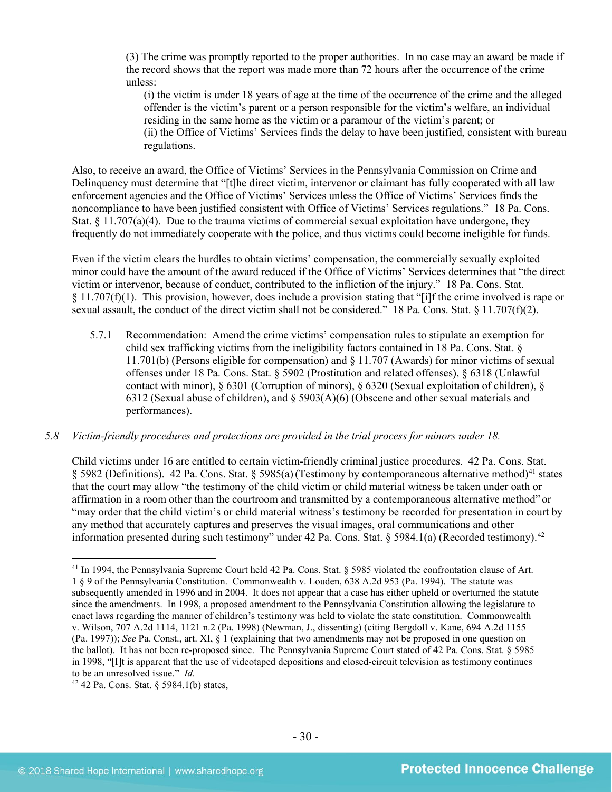(3) The crime was promptly reported to the proper authorities. In no case may an award be made if the record shows that the report was made more than 72 hours after the occurrence of the crime unless:

(i) the victim is under 18 years of age at the time of the occurrence of the crime and the alleged offender is the victim's parent or a person responsible for the victim's welfare, an individual residing in the same home as the victim or a paramour of the victim's parent; or (ii) the Office of Victims' Services finds the delay to have been justified, consistent with bureau regulations.

Also, to receive an award, the Office of Victims' Services in the Pennsylvania Commission on Crime and Delinquency must determine that "[t]he direct victim, intervenor or claimant has fully cooperated with all law enforcement agencies and the Office of Victims' Services unless the Office of Victims' Services finds the noncompliance to have been justified consistent with Office of Victims' Services regulations." 18 Pa. Cons. Stat.  $\S 11.707(a)(4)$ . Due to the trauma victims of commercial sexual exploitation have undergone, they frequently do not immediately cooperate with the police, and thus victims could become ineligible for funds.

Even if the victim clears the hurdles to obtain victims' compensation, the commercially sexually exploited minor could have the amount of the award reduced if the Office of Victims' Services determines that "the direct victim or intervenor, because of conduct, contributed to the infliction of the injury." 18 Pa. Cons. Stat. § 11.707(f)(1). This provision, however, does include a provision stating that "[i]f the crime involved is rape or sexual assault, the conduct of the direct victim shall not be considered." 18 Pa. Cons. Stat. § 11.707(f)(2).

5.7.1 Recommendation: Amend the crime victims' compensation rules to stipulate an exemption for child sex trafficking victims from the ineligibility factors contained in 18 Pa. Cons. Stat. § 11.701(b) (Persons eligible for compensation) and § 11.707 (Awards) for minor victims of sexual offenses under 18 Pa. Cons. Stat. § 5902 (Prostitution and related offenses), § 6318 (Unlawful contact with minor), § 6301 (Corruption of minors), § 6320 (Sexual exploitation of children), § 6312 (Sexual abuse of children), and  $\S$  5903(A)(6) (Obscene and other sexual materials and performances).

#### *5.8 Victim-friendly procedures and protections are provided in the trial process for minors under 18.*

Child victims under 16 are entitled to certain victim-friendly criminal justice procedures. 42 Pa. Cons. Stat. § 5982 (Definitions). 42 Pa. Cons. Stat. § 5985(a)(Testimony by contemporaneous alternative method)[41](#page-29-0) states that the court may allow "the testimony of the child victim or child material witness be taken under oath or affirmation in a room other than the courtroom and transmitted by a contemporaneous alternative method" or "may order that the child victim's or child material witness's testimony be recorded for presentation in court by any method that accurately captures and preserves the visual images, oral communications and other information presented during such testimony" under [42](#page-29-1) Pa. Cons. Stat. § 5984.1(a) (Recorded testimony).<sup>42</sup>

<span id="page-29-0"></span> <sup>41</sup> In 1994, the Pennsylvania Supreme Court held 42 Pa. Cons. Stat. § 5985 violated the confrontation clause of Art. 1 § 9 of the Pennsylvania Constitution. Commonwealth v. Louden, 638 A.2d 953 (Pa. 1994). The statute was subsequently amended in 1996 and in 2004. It does not appear that a case has either upheld or overturned the statute since the amendments. In 1998, a proposed amendment to the Pennsylvania Constitution allowing the legislature to enact laws regarding the manner of children's testimony was held to violate the state constitution. Commonwealth v. Wilson, 707 A.2d 1114, 1121 n.2 (Pa. 1998) (Newman, J., dissenting) (citing Bergdoll v. Kane, 694 A.2d 1155 (Pa. 1997)); *See* Pa. Const., art. XI, § 1 (explaining that two amendments may not be proposed in one question on the ballot). It has not been re-proposed since. The Pennsylvania Supreme Court stated of 42 Pa. Cons. Stat. § 5985 in 1998, "[I]t is apparent that the use of videotaped depositions and closed-circuit television as testimony continues to be an unresolved issue." *Id.*

<span id="page-29-1"></span> $42$  42 Pa. Cons. Stat. § 5984.1(b) states,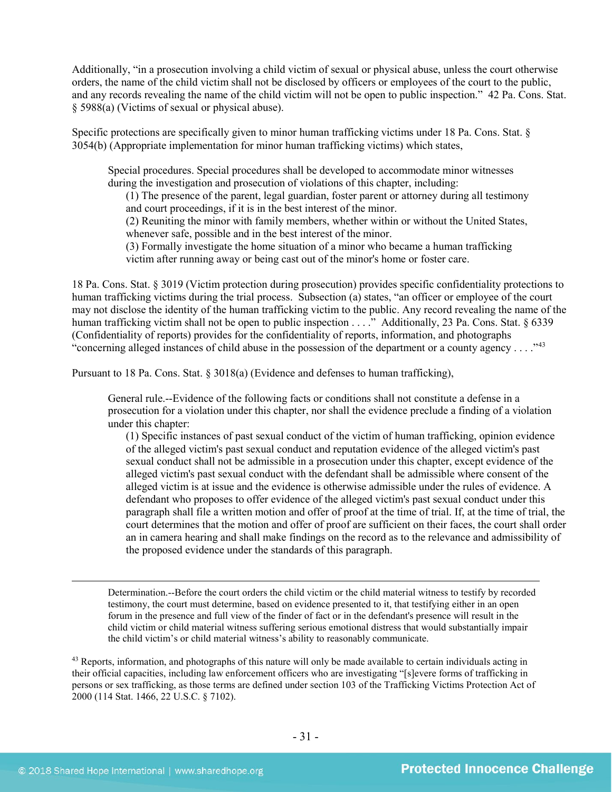Additionally, "in a prosecution involving a child victim of sexual or physical abuse, unless the court otherwise orders, the name of the child victim shall not be disclosed by officers or employees of the court to the public, and any records revealing the name of the child victim will not be open to public inspection." 42 Pa. Cons. Stat. § 5988(a) (Victims of sexual or physical abuse).

Specific protections are specifically given to minor human trafficking victims under 18 Pa. Cons. Stat. § 3054(b) (Appropriate implementation for minor human trafficking victims) which states,

Special procedures. Special procedures shall be developed to accommodate minor witnesses during the investigation and prosecution of violations of this chapter, including:

(1) The presence of the parent, legal guardian, foster parent or attorney during all testimony and court proceedings, if it is in the best interest of the minor.

(2) Reuniting the minor with family members, whether within or without the United States, whenever safe, possible and in the best interest of the minor.

(3) Formally investigate the home situation of a minor who became a human trafficking victim after running away or being cast out of the minor's home or foster care.

18 Pa. Cons. Stat. § 3019 (Victim protection during prosecution) provides specific confidentiality protections to human trafficking victims during the trial process. Subsection (a) states, "an officer or employee of the court may not disclose the identity of the human trafficking victim to the public. Any record revealing the name of the human trafficking victim shall not be open to public inspection . . . ." Additionally, 23 Pa. Cons. Stat. § 6339 (Confidentiality of reports) provides for the confidentiality of reports, information, and photographs "concerning alleged instances of child abuse in the possession of the department or a county agency . . . ."<sup>[43](#page-30-0)</sup>

Pursuant to 18 Pa. Cons. Stat. § 3018(a) (Evidence and defenses to human trafficking),

General rule.--Evidence of the following facts or conditions shall not constitute a defense in a prosecution for a violation under this chapter, nor shall the evidence preclude a finding of a violation under this chapter:

(1) Specific instances of past sexual conduct of the victim of human trafficking, opinion evidence of the alleged victim's past sexual conduct and reputation evidence of the alleged victim's past sexual conduct shall not be admissible in a prosecution under this chapter, except evidence of the alleged victim's past sexual conduct with the defendant shall be admissible where consent of the alleged victim is at issue and the evidence is otherwise admissible under the rules of evidence. A defendant who proposes to offer evidence of the alleged victim's past sexual conduct under this paragraph shall file a written motion and offer of proof at the time of trial. If, at the time of trial, the court determines that the motion and offer of proof are sufficient on their faces, the court shall order an in camera hearing and shall make findings on the record as to the relevance and admissibility of the proposed evidence under the standards of this paragraph.

Determination.--Before the court orders the child victim or the child material witness to testify by recorded testimony, the court must determine, based on evidence presented to it, that testifying either in an open forum in the presence and full view of the finder of fact or in the defendant's presence will result in the child victim or child material witness suffering serious emotional distress that would substantially impair the child victim's or child material witness's ability to reasonably communicate.

<span id="page-30-0"></span><sup>43</sup> Reports, information, and photographs of this nature will only be made available to certain individuals acting in their official capacities, including law enforcement officers who are investigating "[s]evere forms of trafficking in persons or sex trafficking, as those terms are defined under section 103 of the Trafficking Victims Protection Act of 2000 (114 Stat. 1466, 22 U.S.C. § 7102).

 $\overline{a}$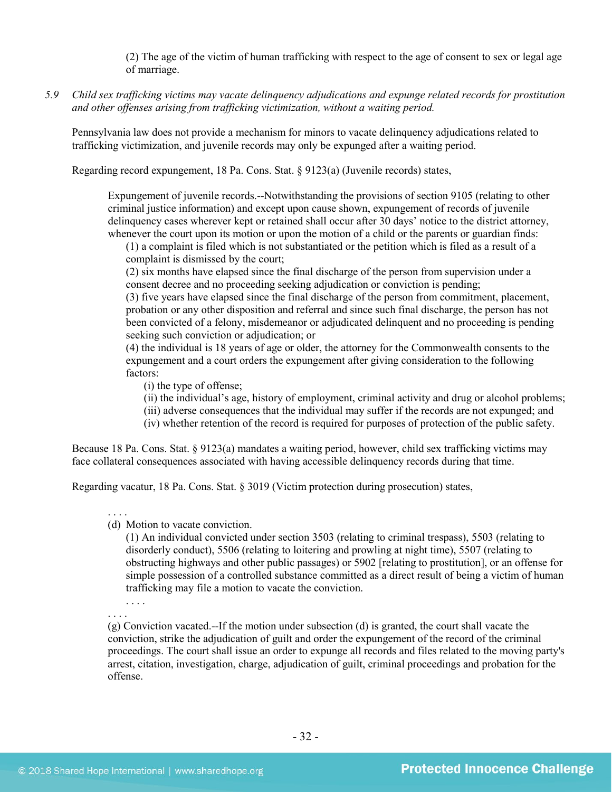(2) The age of the victim of human trafficking with respect to the age of consent to sex or legal age of marriage.

*5.9 Child sex trafficking victims may vacate delinquency adjudications and expunge related records for prostitution and other offenses arising from trafficking victimization, without a waiting period.*

Pennsylvania law does not provide a mechanism for minors to vacate delinquency adjudications related to trafficking victimization, and juvenile records may only be expunged after a waiting period.

Regarding record expungement, 18 Pa. Cons. Stat. § 9123(a) (Juvenile records) states,

Expungement of juvenile records.--Notwithstanding the provisions of section 9105 (relating to other criminal justice information) and except upon cause shown, expungement of records of juvenile delinquency cases wherever kept or retained shall occur after 30 days' notice to the district attorney, whenever the court upon its motion or upon the motion of a child or the parents or guardian finds:

(1) a complaint is filed which is not substantiated or the petition which is filed as a result of a complaint is dismissed by the court;

(2) six months have elapsed since the final discharge of the person from supervision under a consent decree and no proceeding seeking adjudication or conviction is pending;

(3) five years have elapsed since the final discharge of the person from commitment, placement, probation or any other disposition and referral and since such final discharge, the person has not been convicted of a felony, misdemeanor or adjudicated delinquent and no proceeding is pending seeking such conviction or adjudication; or

(4) the individual is 18 years of age or older, the attorney for the Commonwealth consents to the expungement and a court orders the expungement after giving consideration to the following factors:

(i) the type of offense;

(ii) the individual's age, history of employment, criminal activity and drug or alcohol problems;

- (iii) adverse consequences that the individual may suffer if the records are not expunged; and
- (iv) whether retention of the record is required for purposes of protection of the public safety.

Because 18 Pa. Cons. Stat. § 9123(a) mandates a waiting period, however, child sex trafficking victims may face collateral consequences associated with having accessible delinquency records during that time.

Regarding vacatur, 18 Pa. Cons. Stat. § 3019 (Victim protection during prosecution) states,

. . . .

(d) Motion to vacate conviction.

(1) An individual convicted under section 3503 (relating to criminal trespass), 5503 (relating to disorderly conduct), 5506 (relating to loitering and prowling at night time), 5507 (relating to obstructing highways and other public passages) or 5902 [relating to prostitution], or an offense for simple possession of a controlled substance committed as a direct result of being a victim of human trafficking may file a motion to vacate the conviction.

. . . . . . . .

(g) Conviction vacated.--If the motion under subsection (d) is granted, the court shall vacate the conviction, strike the adjudication of guilt and order the expungement of the record of the criminal proceedings. The court shall issue an order to expunge all records and files related to the moving party's arrest, citation, investigation, charge, adjudication of guilt, criminal proceedings and probation for the offense.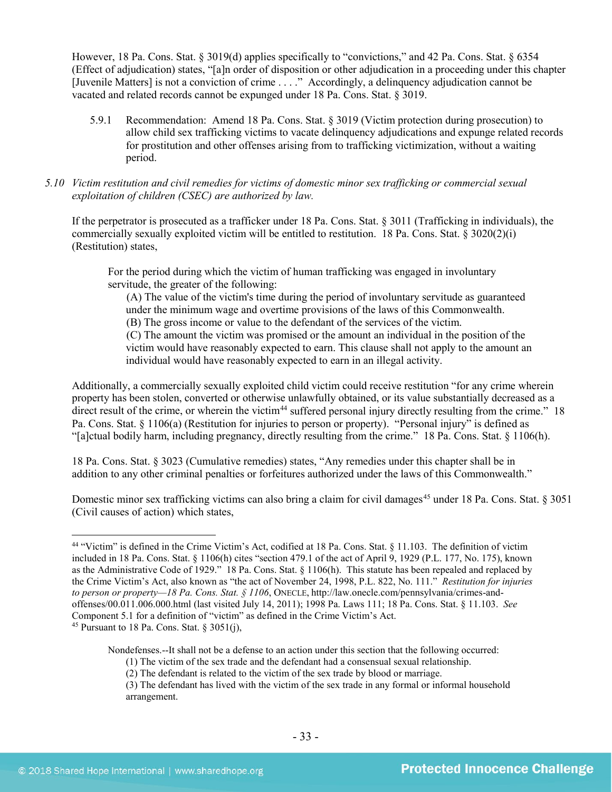However, 18 Pa. Cons. Stat. § 3019(d) applies specifically to "convictions," and 42 Pa. Cons. Stat. § 6354 (Effect of adjudication) states, "[a]n order of disposition or other adjudication in a proceeding under this chapter [Juvenile Matters] is not a conviction of crime . . . ." Accordingly, a delinquency adjudication cannot be vacated and related records cannot be expunged under 18 Pa. Cons. Stat. § 3019.

- 5.9.1 Recommendation: Amend 18 Pa. Cons. Stat. § 3019 (Victim protection during prosecution) to allow child sex trafficking victims to vacate delinquency adjudications and expunge related records for prostitution and other offenses arising from to trafficking victimization, without a waiting period.
- *5.10 Victim restitution and civil remedies for victims of domestic minor sex trafficking or commercial sexual exploitation of children (CSEC) are authorized by law.*

If the perpetrator is prosecuted as a trafficker under 18 Pa. Cons. Stat. § 3011 (Trafficking in individuals), the commercially sexually exploited victim will be entitled to restitution. 18 Pa. Cons. Stat. § 3020(2)(i) (Restitution) states,

For the period during which the victim of human trafficking was engaged in involuntary servitude, the greater of the following:

(A) The value of the victim's time during the period of involuntary servitude as guaranteed under the minimum wage and overtime provisions of the laws of this Commonwealth.

(B) The gross income or value to the defendant of the services of the victim.

(C) The amount the victim was promised or the amount an individual in the position of the victim would have reasonably expected to earn. This clause shall not apply to the amount an individual would have reasonably expected to earn in an illegal activity.

Additionally, a commercially sexually exploited child victim could receive restitution "for any crime wherein property has been stolen, converted or otherwise unlawfully obtained, or its value substantially decreased as a direct result of the crime, or wherein the victim<sup>[44](#page-32-0)</sup> suffered personal injury directly resulting from the crime." 18 Pa. Cons. Stat. § 1106(a) (Restitution for injuries to person or property). "Personal injury" is defined as "[a]ctual bodily harm, including pregnancy, directly resulting from the crime." 18 Pa. Cons. Stat. § 1106(h).

18 Pa. Cons. Stat. § 3023 (Cumulative remedies) states, "Any remedies under this chapter shall be in addition to any other criminal penalties or forfeitures authorized under the laws of this Commonwealth."

Domestic minor sex trafficking victims can also bring a claim for civil damages<sup>[45](#page-32-1)</sup> under 18 Pa. Cons. Stat. § 3051 (Civil causes of action) which states,

Nondefenses.--It shall not be a defense to an action under this section that the following occurred:

<span id="page-32-1"></span><span id="page-32-0"></span><sup>&</sup>lt;sup>44</sup> "Victim" is defined in the Crime Victim's Act, codified at 18 Pa. Cons. Stat. § 11.103. The definition of victim included in 18 Pa. Cons. Stat. § 1106(h) cites "section 479.1 of the act of April 9, 1929 (P.L. 177, No. 175), known as the Administrative Code of 1929." 18 Pa. Cons. Stat. § 1106(h). This statute has been repealed and replaced by the Crime Victim's Act, also known as "the act of November 24, 1998, P.L. 822, No. 111." *Restitution for injuries to person or property—18 Pa. Cons. Stat. § 1106*, ONECLE, http://law.onecle.com/pennsylvania/crimes-andoffenses/00.011.006.000.html (last visited July 14, 2011); 1998 Pa. Laws 111; 18 Pa. Cons. Stat. § 11.103. *See* Component 5.1 for a definition of "victim" as defined in the Crime Victim's Act. <sup>45</sup> Pursuant to 18 Pa. Cons. Stat. § 3051(j),

<sup>(1)</sup> The victim of the sex trade and the defendant had a consensual sexual relationship.

<sup>(2)</sup> The defendant is related to the victim of the sex trade by blood or marriage.

<sup>(3)</sup> The defendant has lived with the victim of the sex trade in any formal or informal household arrangement.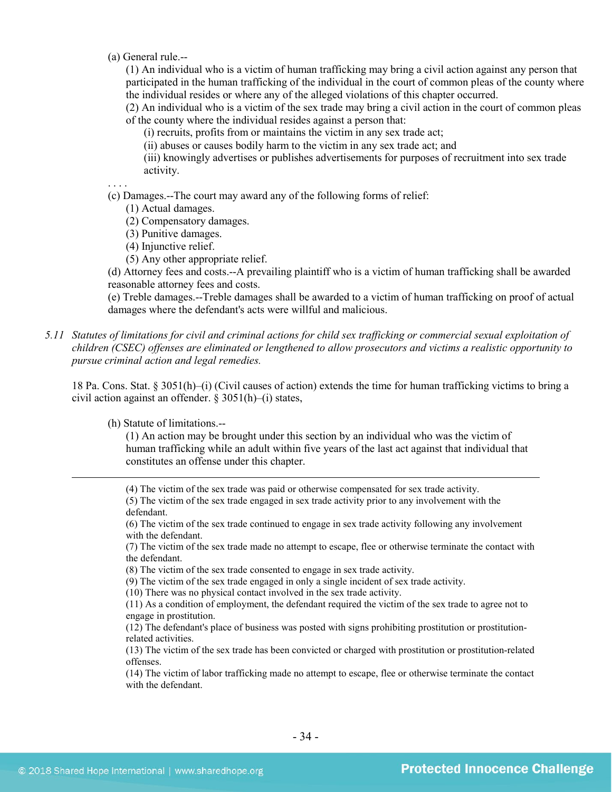(a) General rule.--

(1) An individual who is a victim of human trafficking may bring a civil action against any person that participated in the human trafficking of the individual in the court of common pleas of the county where the individual resides or where any of the alleged violations of this chapter occurred.

(2) An individual who is a victim of the sex trade may bring a civil action in the court of common pleas of the county where the individual resides against a person that:

(i) recruits, profits from or maintains the victim in any sex trade act;

(ii) abuses or causes bodily harm to the victim in any sex trade act; and

(iii) knowingly advertises or publishes advertisements for purposes of recruitment into sex trade activity.

. . . .

(c) Damages.--The court may award any of the following forms of relief:

(1) Actual damages.

(2) Compensatory damages.

(3) Punitive damages.

- (4) Injunctive relief.
- (5) Any other appropriate relief.

(d) Attorney fees and costs.--A prevailing plaintiff who is a victim of human trafficking shall be awarded reasonable attorney fees and costs.

(e) Treble damages.--Treble damages shall be awarded to a victim of human trafficking on proof of actual damages where the defendant's acts were willful and malicious.

*5.11 Statutes of limitations for civil and criminal actions for child sex trafficking or commercial sexual exploitation of children (CSEC) offenses are eliminated or lengthened to allow prosecutors and victims a realistic opportunity to pursue criminal action and legal remedies.*

18 Pa. Cons. Stat. § 3051(h)–(i) (Civil causes of action) extends the time for human trafficking victims to bring a civil action against an offender. § 3051(h)–(i) states,

(h) Statute of limitations.--

(1) An action may be brought under this section by an individual who was the victim of human trafficking while an adult within five years of the last act against that individual that constitutes an offense under this chapter.

(4) The victim of the sex trade was paid or otherwise compensated for sex trade activity.

(5) The victim of the sex trade engaged in sex trade activity prior to any involvement with the defendant.

(6) The victim of the sex trade continued to engage in sex trade activity following any involvement with the defendant.

(7) The victim of the sex trade made no attempt to escape, flee or otherwise terminate the contact with the defendant.

(8) The victim of the sex trade consented to engage in sex trade activity.

(9) The victim of the sex trade engaged in only a single incident of sex trade activity.

(10) There was no physical contact involved in the sex trade activity.

(11) As a condition of employment, the defendant required the victim of the sex trade to agree not to engage in prostitution.

(12) The defendant's place of business was posted with signs prohibiting prostitution or prostitutionrelated activities.

(13) The victim of the sex trade has been convicted or charged with prostitution or prostitution-related offenses.

(14) The victim of labor trafficking made no attempt to escape, flee or otherwise terminate the contact with the defendant.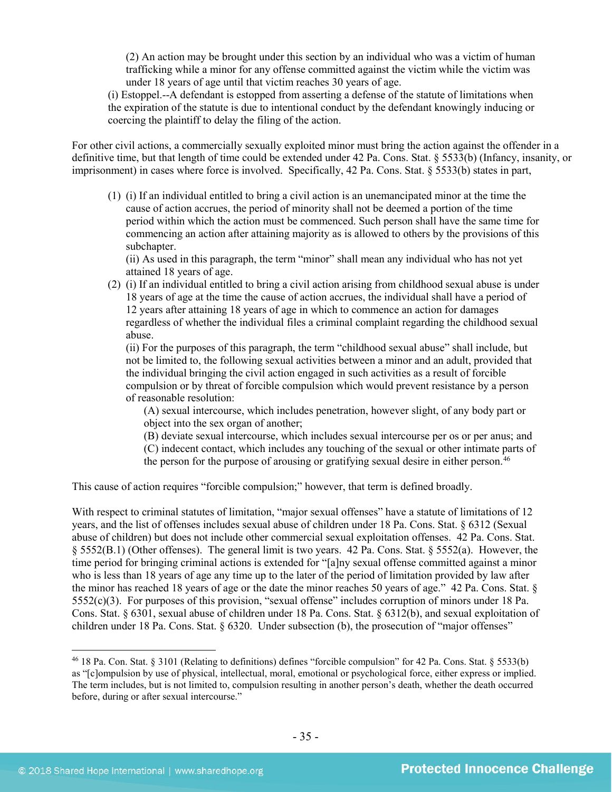(2) An action may be brought under this section by an individual who was a victim of human trafficking while a minor for any offense committed against the victim while the victim was under 18 years of age until that victim reaches 30 years of age.

(i) Estoppel.--A defendant is estopped from asserting a defense of the statute of limitations when the expiration of the statute is due to intentional conduct by the defendant knowingly inducing or coercing the plaintiff to delay the filing of the action.

For other civil actions, a commercially sexually exploited minor must bring the action against the offender in a definitive time, but that length of time could be extended under 42 Pa. Cons. Stat. § 5533(b) (Infancy, insanity, or imprisonment) in cases where force is involved. Specifically, 42 Pa. Cons. Stat. § 5533(b) states in part,

(1) (i) If an individual entitled to bring a civil action is an unemancipated minor at the time the cause of action accrues, the period of minority shall not be deemed a portion of the time period within which the action must be commenced. Such person shall have the same time for commencing an action after attaining majority as is allowed to others by the provisions of this subchapter.

(ii) As used in this paragraph, the term "minor" shall mean any individual who has not yet attained 18 years of age.

(2) (i) If an individual entitled to bring a civil action arising from childhood sexual abuse is under 18 years of age at the time the cause of action accrues, the individual shall have a period of 12 years after attaining 18 years of age in which to commence an action for damages regardless of whether the individual files a criminal complaint regarding the childhood sexual abuse.

(ii) For the purposes of this paragraph, the term "childhood sexual abuse" shall include, but not be limited to, the following sexual activities between a minor and an adult, provided that the individual bringing the civil action engaged in such activities as a result of forcible compulsion or by threat of forcible compulsion which would prevent resistance by a person of reasonable resolution:

(A) sexual intercourse, which includes penetration, however slight, of any body part or object into the sex organ of another;

(B) deviate sexual intercourse, which includes sexual intercourse per os or per anus; and

(C) indecent contact, which includes any touching of the sexual or other intimate parts of the person for the purpose of arousing or gratifying sexual desire in either person.<sup>[46](#page-34-0)</sup>

This cause of action requires "forcible compulsion;" however, that term is defined broadly.

With respect to criminal statutes of limitation, "major sexual offenses" have a statute of limitations of 12 years, and the list of offenses includes sexual abuse of children under 18 Pa. Cons. Stat. § 6312 (Sexual abuse of children) but does not include other commercial sexual exploitation offenses. 42 Pa. Cons. Stat. § 5552(B.1) (Other offenses). The general limit is two years. 42 Pa. Cons. Stat. § 5552(a). However, the time period for bringing criminal actions is extended for "[a]ny sexual offense committed against a minor who is less than 18 years of age any time up to the later of the period of limitation provided by law after the minor has reached 18 years of age or the date the minor reaches 50 years of age." 42 Pa. Cons. Stat. § 5552(c)(3). For purposes of this provision, "sexual offense" includes corruption of minors under 18 Pa. Cons. Stat. § 6301, sexual abuse of children under 18 Pa. Cons. Stat. § 6312(b), and sexual exploitation of children under 18 Pa. Cons. Stat. § 6320. Under subsection (b), the prosecution of "major offenses"

<span id="page-34-0"></span> <sup>46</sup> 18 Pa. Con. Stat. § 3101 (Relating to definitions) defines "forcible compulsion" for 42 Pa. Cons. Stat. § 5533(b) as "[c]ompulsion by use of physical, intellectual, moral, emotional or psychological force, either express or implied. The term includes, but is not limited to, compulsion resulting in another person's death, whether the death occurred before, during or after sexual intercourse."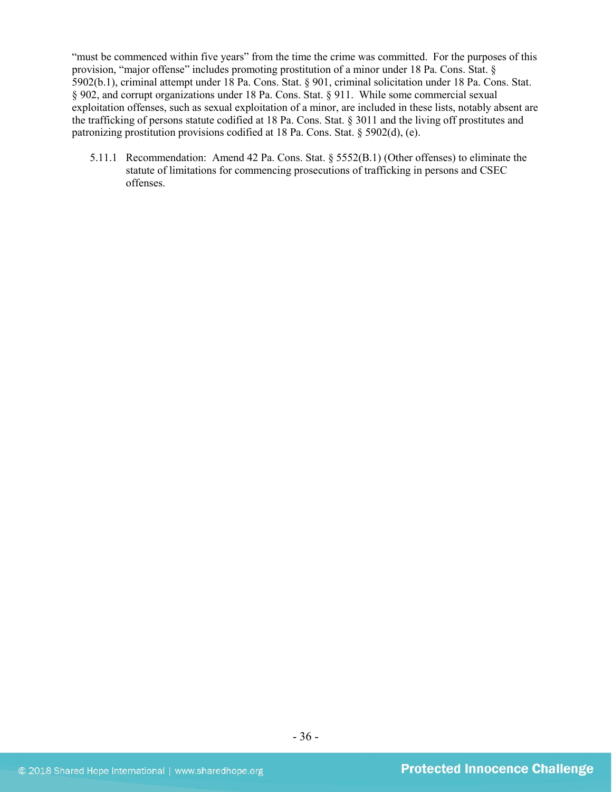"must be commenced within five years" from the time the crime was committed. For the purposes of this provision, "major offense" includes promoting prostitution of a minor under 18 Pa. Cons. Stat. § 5902(b.1), criminal attempt under 18 Pa. Cons. Stat. § 901, criminal solicitation under 18 Pa. Cons. Stat. § 902, and corrupt organizations under 18 Pa. Cons. Stat. § 911. While some commercial sexual exploitation offenses, such as sexual exploitation of a minor, are included in these lists, notably absent are the trafficking of persons statute codified at 18 Pa. Cons. Stat. § 3011 and the living off prostitutes and patronizing prostitution provisions codified at 18 Pa. Cons. Stat. § 5902(d), (e).

5.11.1 Recommendation: Amend 42 Pa. Cons. Stat. § 5552(B.1) (Other offenses) to eliminate the statute of limitations for commencing prosecutions of trafficking in persons and CSEC offenses.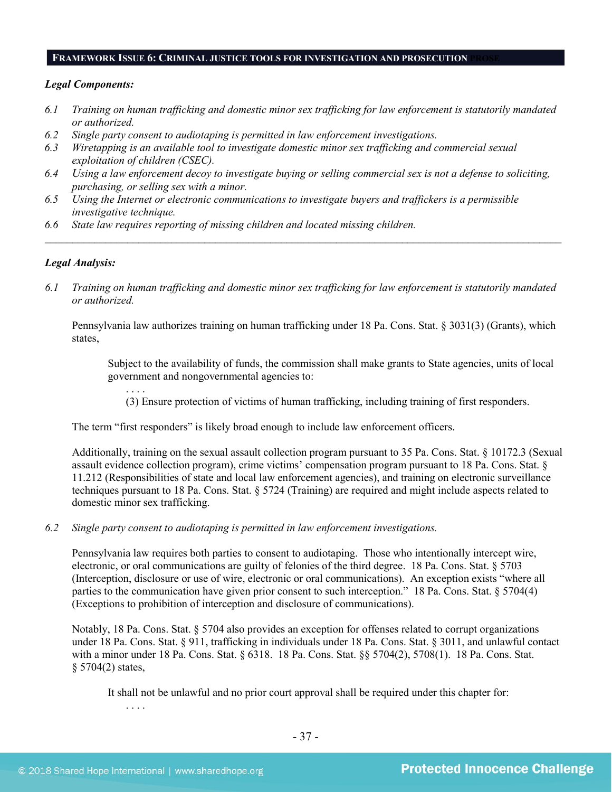#### **FRAMEWORK ISSUE 6: CRIMINAL JUSTICE TOOLS FOR INVESTIGATION AND PROSECUTION PROSE**

#### *Legal Components:*

- *6.1 Training on human trafficking and domestic minor sex trafficking for law enforcement is statutorily mandated or authorized.*
- *6.2 Single party consent to audiotaping is permitted in law enforcement investigations.*
- *6.3 Wiretapping is an available tool to investigate domestic minor sex trafficking and commercial sexual exploitation of children (CSEC).*
- *6.4 Using a law enforcement decoy to investigate buying or selling commercial sex is not a defense to soliciting, purchasing, or selling sex with a minor.*
- *6.5 Using the Internet or electronic communications to investigate buyers and traffickers is a permissible investigative technique.*
- *6.6 State law requires reporting of missing children and located missing children.*

# *Legal Analysis:*

*6.1 Training on human trafficking and domestic minor sex trafficking for law enforcement is statutorily mandated or authorized.*

*\_\_\_\_\_\_\_\_\_\_\_\_\_\_\_\_\_\_\_\_\_\_\_\_\_\_\_\_\_\_\_\_\_\_\_\_\_\_\_\_\_\_\_\_\_\_\_\_\_\_\_\_\_\_\_\_\_\_\_\_\_\_\_\_\_\_\_\_\_\_\_\_\_\_\_\_\_\_\_\_\_\_\_\_\_\_\_\_\_\_\_\_\_\_*

Pennsylvania law authorizes training on human trafficking under 18 Pa. Cons. Stat. § 3031(3) (Grants), which states,

Subject to the availability of funds, the commission shall make grants to State agencies, units of local government and nongovernmental agencies to:

. . . . (3) Ensure protection of victims of human trafficking, including training of first responders.

The term "first responders" is likely broad enough to include law enforcement officers.

Additionally, training on the sexual assault collection program pursuant to 35 Pa. Cons. Stat. § 10172.3 (Sexual assault evidence collection program), crime victims' compensation program pursuant to 18 Pa. Cons. Stat. § 11.212 (Responsibilities of state and local law enforcement agencies), and training on electronic surveillance techniques pursuant to 18 Pa. Cons. Stat. § 5724 (Training) are required and might include aspects related to domestic minor sex trafficking.

*6.2 Single party consent to audiotaping is permitted in law enforcement investigations.*

Pennsylvania law requires both parties to consent to audiotaping. Those who intentionally intercept wire, electronic, or oral communications are guilty of felonies of the third degree. 18 Pa. Cons. Stat. § 5703 (Interception, disclosure or use of wire, electronic or oral communications). An exception exists "where all parties to the communication have given prior consent to such interception." 18 Pa. Cons. Stat. § 5704(4) (Exceptions to prohibition of interception and disclosure of communications).

Notably, 18 Pa. Cons. Stat. § 5704 also provides an exception for offenses related to corrupt organizations under 18 Pa. Cons. Stat. § 911, trafficking in individuals under 18 Pa. Cons. Stat. § 3011, and unlawful contact with a minor under 18 Pa. Cons. Stat. § 6318. 18 Pa. Cons. Stat. §§ 5704(2), 5708(1). 18 Pa. Cons. Stat. § 5704(2) states,

It shall not be unlawful and no prior court approval shall be required under this chapter for:

. . . .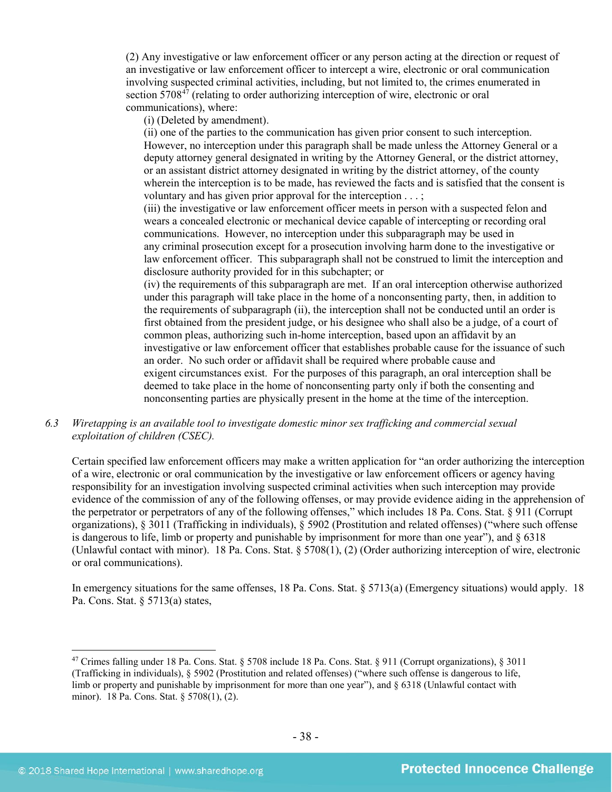(2) Any investigative or law enforcement officer or any person acting at the direction or request of an investigative or law enforcement officer to intercept a wire, electronic or oral communication involving suspected criminal activities, including, but not limited to, the crimes enumerated in section  $5708^{47}$  (relating to order authorizing interception of wire, electronic or oral communications), where:

(i) (Deleted by amendment).

(ii) one of the parties to the communication has given prior consent to such interception. However, no interception under this paragraph shall be made unless the Attorney General or a deputy attorney general designated in writing by the Attorney General, or the district attorney, or an assistant district attorney designated in writing by the district attorney, of the county wherein the interception is to be made, has reviewed the facts and is satisfied that the consent is voluntary and has given prior approval for the interception . . . ;

(iii) the investigative or law enforcement officer meets in person with a suspected felon and wears a concealed electronic or mechanical device capable of intercepting or recording oral communications. However, no interception under this subparagraph may be used in any criminal prosecution except for a prosecution involving harm done to the investigative or law enforcement officer. This subparagraph shall not be construed to limit the interception and disclosure authority provided for in this subchapter; or

(iv) the requirements of this subparagraph are met. If an oral interception otherwise authorized under this paragraph will take place in the home of a nonconsenting party, then, in addition to the requirements of subparagraph (ii), the interception shall not be conducted until an order is first obtained from the president judge, or his designee who shall also be a judge, of a court of common pleas, authorizing such in-home interception, based upon an affidavit by an investigative or law enforcement officer that establishes probable cause for the issuance of such an order. No such order or affidavit shall be required where probable cause and exigent circumstances exist. For the purposes of this paragraph, an oral interception shall be deemed to take place in the home of nonconsenting party only if both the consenting and nonconsenting parties are physically present in the home at the time of the interception.

# *6.3 Wiretapping is an available tool to investigate domestic minor sex trafficking and commercial sexual exploitation of children (CSEC).*

Certain specified law enforcement officers may make a written application for "an order authorizing the interception of a wire, electronic or oral communication by the investigative or law enforcement officers or agency having responsibility for an investigation involving suspected criminal activities when such interception may provide evidence of the commission of any of the following offenses, or may provide evidence aiding in the apprehension of the perpetrator or perpetrators of any of the following offenses," which includes 18 Pa. Cons. Stat. § 911 (Corrupt organizations), § 3011 (Trafficking in individuals), § 5902 (Prostitution and related offenses) ("where such offense is dangerous to life, limb or property and punishable by imprisonment for more than one year"), and  $\S$  6318 (Unlawful contact with minor). 18 Pa. Cons. Stat. § 5708(1), (2) (Order authorizing interception of wire, electronic or oral communications).

In emergency situations for the same offenses, 18 Pa. Cons. Stat. § 5713(a) (Emergency situations) would apply. 18 Pa. Cons. Stat. § 5713(a) states,

<span id="page-37-0"></span> <sup>47</sup> Crimes falling under 18 Pa. Cons. Stat. § 5708 include 18 Pa. Cons. Stat. § 911 (Corrupt organizations), § 3011 (Trafficking in individuals), § 5902 (Prostitution and related offenses) ("where such offense is dangerous to life, limb or property and punishable by imprisonment for more than one year"), and § 6318 (Unlawful contact with minor). 18 Pa. Cons. Stat. § 5708(1), (2).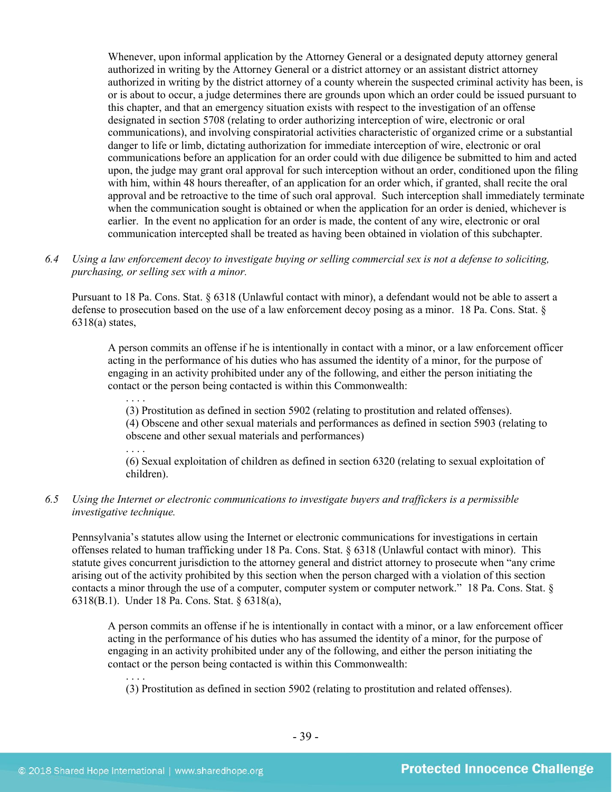Whenever, upon informal application by the Attorney General or a designated deputy attorney general authorized in writing by the Attorney General or a district attorney or an assistant district attorney authorized in writing by the district attorney of a county wherein the suspected criminal activity has been, is or is about to occur, a judge determines there are grounds upon which an order could be issued pursuant to this chapter, and that an emergency situation exists with respect to the investigation of an offense designated in section 5708 (relating to order authorizing interception of wire, electronic or oral communications), and involving conspiratorial activities characteristic of organized crime or a substantial danger to life or limb, dictating authorization for immediate interception of wire, electronic or oral communications before an application for an order could with due diligence be submitted to him and acted upon, the judge may grant oral approval for such interception without an order, conditioned upon the filing with him, within 48 hours thereafter, of an application for an order which, if granted, shall recite the oral approval and be retroactive to the time of such oral approval. Such interception shall immediately terminate when the communication sought is obtained or when the application for an order is denied, whichever is earlier. In the event no application for an order is made, the content of any wire, electronic or oral communication intercepted shall be treated as having been obtained in violation of this subchapter.

*6.4 Using a law enforcement decoy to investigate buying or selling commercial sex is not a defense to soliciting, purchasing, or selling sex with a minor.*

Pursuant to 18 Pa. Cons. Stat. § 6318 (Unlawful contact with minor), a defendant would not be able to assert a defense to prosecution based on the use of a law enforcement decoy posing as a minor. 18 Pa. Cons. Stat. §  $6318(a)$  states,

A person commits an offense if he is intentionally in contact with a minor, or a law enforcement officer acting in the performance of his duties who has assumed the identity of a minor, for the purpose of engaging in an activity prohibited under any of the following, and either the person initiating the contact or the person being contacted is within this Commonwealth:

. . . . (3) Prostitution as defined in section 5902 (relating to prostitution and related offenses). (4) Obscene and other sexual materials and performances as defined in section 5903 (relating to obscene and other sexual materials and performances)

. . . . (6) Sexual exploitation of children as defined in section 6320 (relating to sexual exploitation of children).

# *6.5 Using the Internet or electronic communications to investigate buyers and traffickers is a permissible investigative technique.*

Pennsylvania's statutes allow using the Internet or electronic communications for investigations in certain offenses related to human trafficking under 18 Pa. Cons. Stat. § 6318 (Unlawful contact with minor). This statute gives concurrent jurisdiction to the attorney general and district attorney to prosecute when "any crime arising out of the activity prohibited by this section when the person charged with a violation of this section contacts a minor through the use of a computer, computer system or computer network." 18 Pa. Cons. Stat. § 6318(B.1). Under 18 Pa. Cons. Stat. § 6318(a),

A person commits an offense if he is intentionally in contact with a minor, or a law enforcement officer acting in the performance of his duties who has assumed the identity of a minor, for the purpose of engaging in an activity prohibited under any of the following, and either the person initiating the contact or the person being contacted is within this Commonwealth:

. . . . (3) Prostitution as defined in section 5902 (relating to prostitution and related offenses).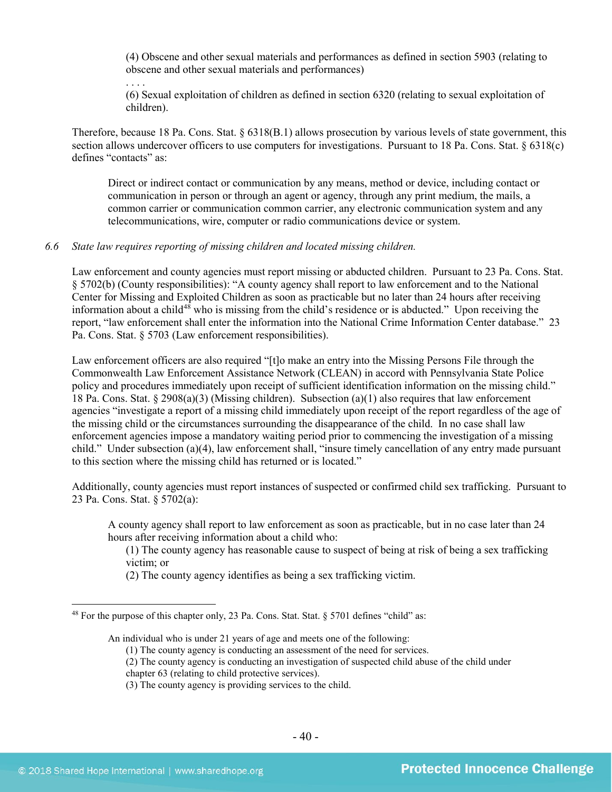(4) Obscene and other sexual materials and performances as defined in section 5903 (relating to obscene and other sexual materials and performances)

. . . . (6) Sexual exploitation of children as defined in section 6320 (relating to sexual exploitation of children).

Therefore, because 18 Pa. Cons. Stat. § 6318(B.1) allows prosecution by various levels of state government, this section allows undercover officers to use computers for investigations. Pursuant to 18 Pa. Cons. Stat. § 6318(c) defines "contacts" as:

Direct or indirect contact or communication by any means, method or device, including contact or communication in person or through an agent or agency, through any print medium, the mails, a common carrier or communication common carrier, any electronic communication system and any telecommunications, wire, computer or radio communications device or system.

#### *6.6 State law requires reporting of missing children and located missing children.*

Law enforcement and county agencies must report missing or abducted children. Pursuant to 23 Pa. Cons. Stat. § 5702(b) (County responsibilities): "A county agency shall report to law enforcement and to the National Center for Missing and Exploited Children as soon as practicable but no later than 24 hours after receiving information about a child<sup>[48](#page-39-0)</sup> who is missing from the child's residence or is abducted." Upon receiving the report, "law enforcement shall enter the information into the National Crime Information Center database." 23 Pa. Cons. Stat. § 5703 (Law enforcement responsibilities).

Law enforcement officers are also required "[t]o make an entry into the Missing Persons File through the Commonwealth Law Enforcement Assistance Network (CLEAN) in accord with Pennsylvania State Police policy and procedures immediately upon receipt of sufficient identification information on the missing child." 18 Pa. Cons. Stat. § 2908(a)(3) (Missing children). Subsection (a)(1) also requires that law enforcement agencies "investigate a report of a missing child immediately upon receipt of the report regardless of the age of the missing child or the circumstances surrounding the disappearance of the child. In no case shall law enforcement agencies impose a mandatory waiting period prior to commencing the investigation of a missing child." Under subsection (a)(4), law enforcement shall, "insure timely cancellation of any entry made pursuant to this section where the missing child has returned or is located."

Additionally, county agencies must report instances of suspected or confirmed child sex trafficking. Pursuant to 23 Pa. Cons. Stat. § 5702(a):

A county agency shall report to law enforcement as soon as practicable, but in no case later than 24 hours after receiving information about a child who:

(1) The county agency has reasonable cause to suspect of being at risk of being a sex trafficking victim; or

(2) The county agency identifies as being a sex trafficking victim.

(3) The county agency is providing services to the child.

<span id="page-39-0"></span><sup>&</sup>lt;sup>48</sup> For the purpose of this chapter only, 23 Pa. Cons. Stat. Stat.  $§$  5701 defines "child" as:

An individual who is under 21 years of age and meets one of the following:

<sup>(1)</sup> The county agency is conducting an assessment of the need for services.

<sup>(2)</sup> The county agency is conducting an investigation of suspected child abuse of the child under

chapter 63 (relating to child protective services).